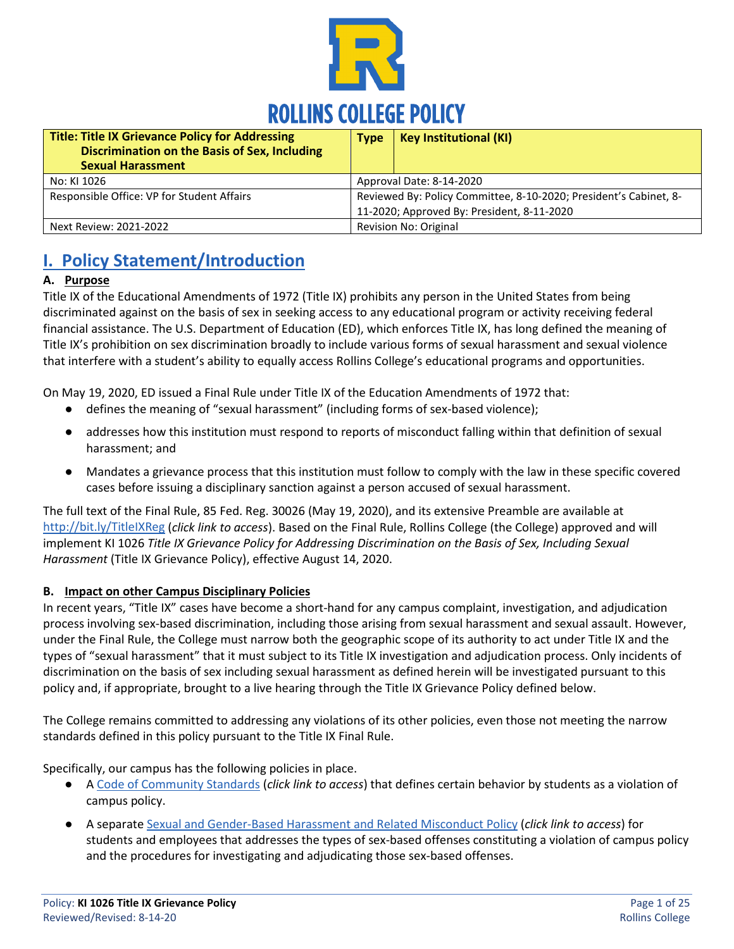

| <b>Title: Title IX Grievance Policy for Addressing</b><br>Discrimination on the Basis of Sex, Including<br><b>Sexual Harassment</b> | <b>Type</b>                                                                                                     | <b>Key Institutional (KI)</b> |
|-------------------------------------------------------------------------------------------------------------------------------------|-----------------------------------------------------------------------------------------------------------------|-------------------------------|
| No: KI 1026                                                                                                                         | Approval Date: 8-14-2020                                                                                        |                               |
| Responsible Office: VP for Student Affairs                                                                                          | Reviewed By: Policy Committee, 8-10-2020; President's Cabinet, 8-<br>11-2020; Approved By: President, 8-11-2020 |                               |
| Next Review: 2021-2022                                                                                                              | Revision No: Original                                                                                           |                               |

# **I. Policy Statement/Introduction**

#### **A. Purpose**

Title IX of the Educational Amendments of 1972 (Title IX) prohibits any person in the United States from being discriminated against on the basis of sex in seeking access to any educational program or activity receiving federal financial assistance. The U.S. Department of Education (ED), which enforces Title IX, has long defined the meaning of Title IX's prohibition on sex discrimination broadly to include various forms of sexual harassment and sexual violence that interfere with a student's ability to equally access Rollins College's educational programs and opportunities.

On May 19, 2020, ED issued a Final Rule under Title IX of the Education Amendments of 1972 that:

- defines the meaning of "sexual harassment" (including forms of sex-based violence);
- addresses how this institution must respond to reports of misconduct falling within that definition of sexual harassment; and
- Mandates a grievance process that this institution must follow to comply with the law in these specific covered cases before issuing a disciplinary sanction against a person accused of sexual harassment.

The full text of the Final Rule, 85 Fed. Reg. 30026 (May 19, 2020), and its extensive Preamble are available at <http://bit.ly/TitleIXReg> (*click link to access*). Based on the Final Rule, Rollins College (the College) approved and will implement KI 1026 *Title IX Grievance Policy for Addressing Discrimination on the Basis of Sex, Including Sexual Harassment* (Title IX Grievance Policy), effective August 14, 2020.

#### **B. Impact on other Campus Disciplinary Policies**

In recent years, "Title IX" cases have become a short-hand for any campus complaint, investigation, and adjudication process involving sex-based discrimination, including those arising from sexual harassment and sexual assault. However, under the Final Rule, the College must narrow both the geographic scope of its authority to act under Title IX and the types of "sexual harassment" that it must subject to its Title IX investigation and adjudication process. Only incidents of discrimination on the basis of sex including sexual harassment as defined herein will be investigated pursuant to this policy and, if appropriate, brought to a live hearing through the Title IX Grievance Policy defined below.

The College remains committed to addressing any violations of its other policies, even those not meeting the narrow standards defined in this policy pursuant to the Title IX Final Rule.

Specifically, our campus has the following policies in place.

- A [Code of Community Standards](https://www.rollins.edu/community-standards-responsibility/documents/rollins-college-code-of-community-standards.pdf) (*click link to access*) that defines certain behavior by students as a violation of campus policy.
- A separat[e Sexual and Gender-Based Harassment and Related Misconduct Policy](https://www.rollins.edu/sexual-misconduct/documents/rollins-college-title-ix-policy-9-19.pdf) (*click link to access*) for students and employees that addresses the types of sex-based offenses constituting a violation of campus policy and the procedures for investigating and adjudicating those sex-based offenses.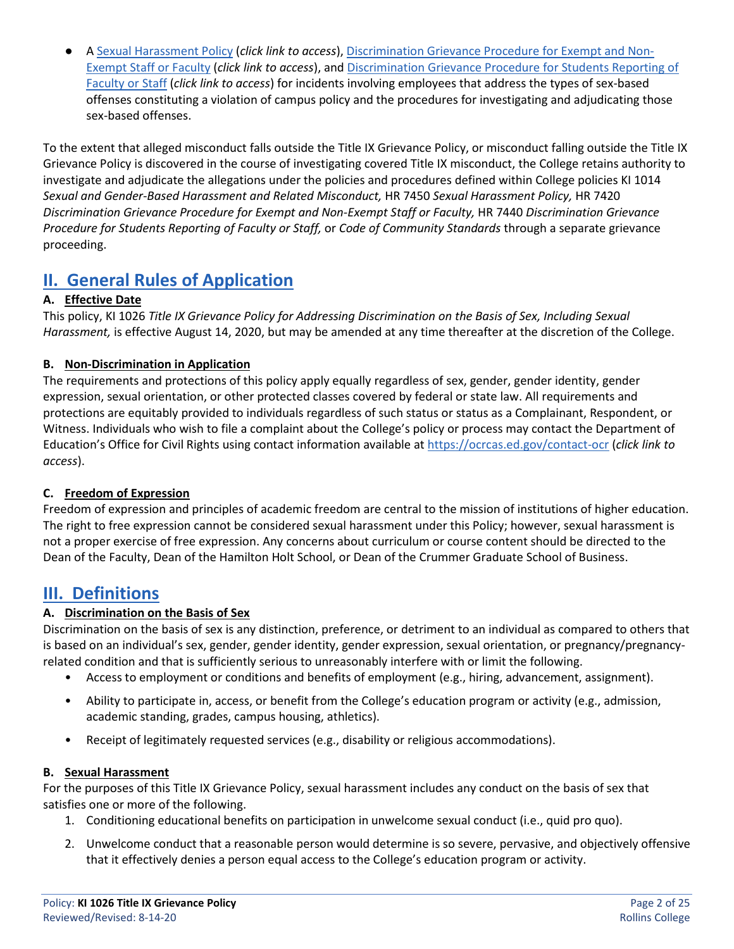● A [Sexual Harassment Policy](https://www.rollins.edu/human-resources/documents/policies/conduct-performance/HR7450_Sexual%20Harassment_11.15.2016.pdf) (*click link to access*), [Discrimination Grievance Procedure](https://www.rollins.edu/human-resources/documents/policies/conduct-performance/HR7420-discrimination-grievance-procedure-for-exempt-and-non-exempt-staff-or-faculty_05.09.2017.pdf) for Exempt and Non-[Exempt Staff or Faculty](https://www.rollins.edu/human-resources/documents/policies/conduct-performance/HR7420-discrimination-grievance-procedure-for-exempt-and-non-exempt-staff-or-faculty_05.09.2017.pdf) (*click link to access*), an[d Discrimination Grievance Procedure for Students Reporting of](https://www.rollins.edu/human-resources/documents/policies/conduct-performance/HR7440-discrimination-grievance-procedure-for-students.pdf)  [Faculty or Staff](https://www.rollins.edu/human-resources/documents/policies/conduct-performance/HR7440-discrimination-grievance-procedure-for-students.pdf) (*click link to access*) for incidents involving employees that address the types of sex-based offenses constituting a violation of campus policy and the procedures for investigating and adjudicating those sex-based offenses.

To the extent that alleged misconduct falls outside the Title IX Grievance Policy, or misconduct falling outside the Title IX Grievance Policy is discovered in the course of investigating covered Title IX misconduct, the College retains authority to investigate and adjudicate the allegations under the policies and procedures defined within College policies KI 1014 *Sexual and Gender-Based Harassment and Related Misconduct,* HR 7450 *Sexual Harassment Policy,* HR 7420 *Discrimination Grievance Procedure for Exempt and Non-Exempt Staff or Faculty,* HR 7440 *Discrimination Grievance Procedure for Students Reporting of Faculty or Staff,* or *Code of Community Standards* through a separate grievance proceeding.

# **II. General Rules of Application**

# **A. Effective Date**

This policy, KI 1026 *Title IX Grievance Policy for Addressing Discrimination on the Basis of Sex, Including Sexual Harassment,* is effective August 14, 2020, but may be amended at any time thereafter at the discretion of the College.

# **B. Non-Discrimination in Application**

The requirements and protections of this policy apply equally regardless of sex, gender, gender identity, gender expression, sexual orientation, or other protected classes covered by federal or state law. All requirements and protections are equitably provided to individuals regardless of such status or status as a Complainant, Respondent, or Witness. Individuals who wish to file a complaint about the College's policy or process may contact the Department of Education's Office for Civil Rights using contact information available at<https://ocrcas.ed.gov/contact-ocr> (*click link to access*).

# **C. Freedom of Expression**

Freedom of expression and principles of academic freedom are central to the mission of institutions of higher education. The right to free expression cannot be considered sexual harassment under this Policy; however, sexual harassment is not a proper exercise of free expression. Any concerns about curriculum or course content should be directed to the Dean of the Faculty, Dean of the Hamilton Holt School, or Dean of the Crummer Graduate School of Business.

# **III. Definitions**

# **A. Discrimination on the Basis of Sex**

Discrimination on the basis of sex is any distinction, preference, or detriment to an individual as compared to others that is based on an individual's sex, gender, gender identity, gender expression, sexual orientation, or pregnancy/pregnancyrelated condition and that is sufficiently serious to unreasonably interfere with or limit the following.

- Access to employment or conditions and benefits of employment (e.g., hiring, advancement, assignment).
- Ability to participate in, access, or benefit from the College's education program or activity (e.g., admission, academic standing, grades, campus housing, athletics).
- Receipt of legitimately requested services (e.g., disability or religious accommodations).

#### **B. Sexual Harassment**

For the purposes of this Title IX Grievance Policy, sexual harassment includes any conduct on the basis of sex that satisfies one or more of the following.

- 1. Conditioning educational benefits on participation in unwelcome sexual conduct (i.e., quid pro quo).
- 2. Unwelcome conduct that a reasonable person would determine is so severe, pervasive, and objectively offensive that it effectively denies a person equal access to the College's education program or activity.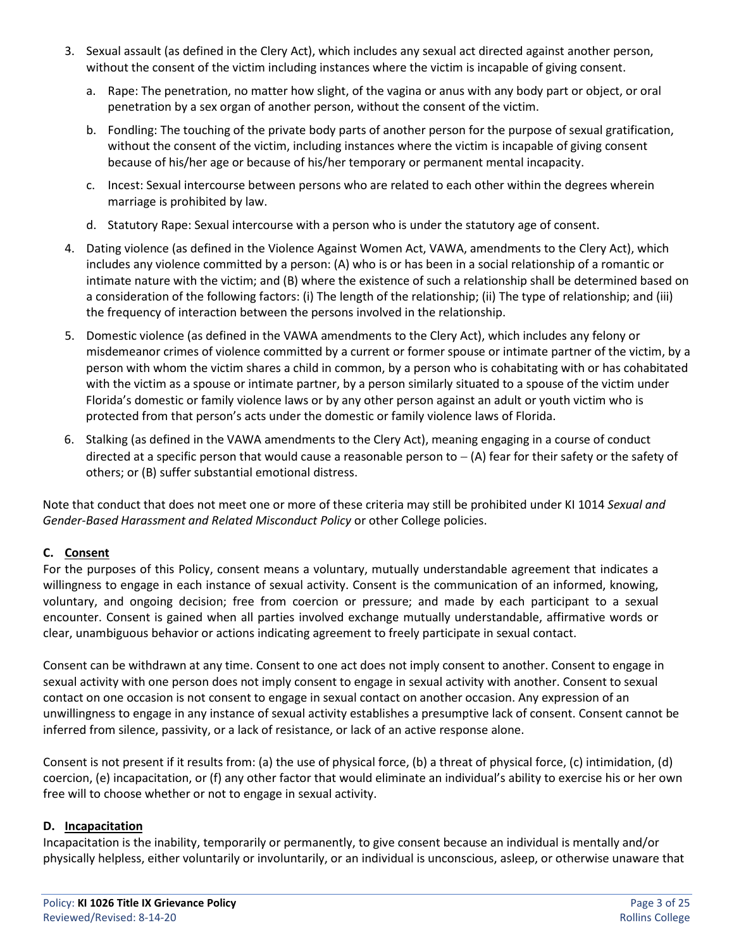- 3. Sexual assault (as defined in the Clery Act), which includes any sexual act directed against another person, without the consent of the victim including instances where the victim is incapable of giving consent.
	- a. Rape: The penetration, no matter how slight, of the vagina or anus with any body part or object, or oral penetration by a sex organ of another person, without the consent of the victim.
	- b. Fondling: The touching of the private body parts of another person for the purpose of sexual gratification, without the consent of the victim, including instances where the victim is incapable of giving consent because of his/her age or because of his/her temporary or permanent mental incapacity.
	- c. Incest: Sexual intercourse between persons who are related to each other within the degrees wherein marriage is prohibited by law.
	- d. Statutory Rape: Sexual intercourse with a person who is under the statutory age of consent.
- 4. Dating violence (as defined in the Violence Against Women Act, VAWA, amendments to the Clery Act), which includes any violence committed by a person: (A) who is or has been in a social relationship of a romantic or intimate nature with the victim; and (B) where the existence of such a relationship shall be determined based on a consideration of the following factors: (i) The length of the relationship; (ii) The type of relationship; and (iii) the frequency of interaction between the persons involved in the relationship.
- 5. Domestic violence (as defined in the VAWA amendments to the Clery Act), which includes any felony or misdemeanor crimes of violence committed by a current or former spouse or intimate partner of the victim, by a person with whom the victim shares a child in common, by a person who is cohabitating with or has cohabitated with the victim as a spouse or intimate partner, by a person similarly situated to a spouse of the victim under Florida's domestic or family violence laws or by any other person against an adult or youth victim who is protected from that person's acts under the domestic or family violence laws of Florida.
- 6. Stalking (as defined in the VAWA amendments to the Clery Act), meaning engaging in a course of conduct directed at a specific person that would cause a reasonable person to − (A) fear for their safety or the safety of others; or (B) suffer substantial emotional distress.

Note that conduct that does not meet one or more of these criteria may still be prohibited under KI 1014 *Sexual and Gender-Based Harassment and Related Misconduct Policy* or other College policies.

#### **C. Consent**

For the purposes of this Policy, consent means a voluntary, mutually understandable agreement that indicates a willingness to engage in each instance of sexual activity. Consent is the communication of an informed, knowing, voluntary, and ongoing decision; free from coercion or pressure; and made by each participant to a sexual encounter. Consent is gained when all parties involved exchange mutually understandable, affirmative words or clear, unambiguous behavior or actions indicating agreement to freely participate in sexual contact.

Consent can be withdrawn at any time. Consent to one act does not imply consent to another. Consent to engage in sexual activity with one person does not imply consent to engage in sexual activity with another. Consent to sexual contact on one occasion is not consent to engage in sexual contact on another occasion. Any expression of an unwillingness to engage in any instance of sexual activity establishes a presumptive lack of consent. Consent cannot be inferred from silence, passivity, or a lack of resistance, or lack of an active response alone.

Consent is not present if it results from: (a) the use of physical force, (b) a threat of physical force, (c) intimidation, (d) coercion, (e) incapacitation, or (f) any other factor that would eliminate an individual's ability to exercise his or her own free will to choose whether or not to engage in sexual activity.

#### **D. Incapacitation**

Incapacitation is the inability, temporarily or permanently, to give consent because an individual is mentally and/or physically helpless, either voluntarily or involuntarily, or an individual is unconscious, asleep, or otherwise unaware that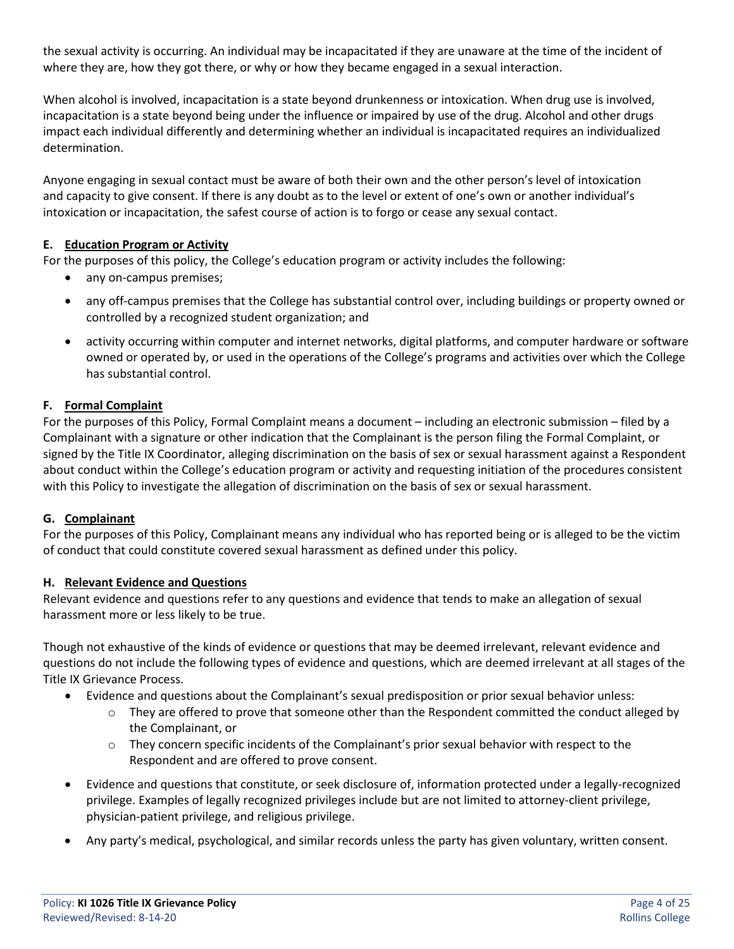the sexual activity is occurring. An individual may be incapacitated if they are unaware at the time of the incident of where they are, how they got there, or why or how they became engaged in a sexual interaction.

When alcohol is involved, incapacitation is a state beyond drunkenness or intoxication. When drug use is involved, incapacitation is a state beyond being under the influence or impaired by use of the drug. Alcohol and other drugs impact each individual differently and determining whether an individual is incapacitated requires an individualized determination.

Anyone engaging in sexual contact must be aware of both their own and the other person's level of intoxication and capacity to give consent. If there is any doubt as to the level or extent of one's own or another individual's intoxication or incapacitation, the safest course of action is to forgo or cease any sexual contact.

#### **E. Education Program or Activity**

For the purposes of this policy, the College's education program or activity includes the following:

- any on-campus premises;
- any off-campus premises that the College has substantial control over, including buildings or property owned or controlled by a recognized student organization; and
- activity occurring within computer and internet networks, digital platforms, and computer hardware or software owned or operated by, or used in the operations of the College's programs and activities over which the College has substantial control.

# **F. Formal Complaint**

For the purposes of this Policy, Formal Complaint means a document – including an electronic submission – filed by a Complainant with a signature or other indication that the Complainant is the person filing the Formal Complaint, or signed by the Title IX Coordinator, alleging discrimination on the basis of sex or sexual harassment against a Respondent about conduct within the College's education program or activity and requesting initiation of the procedures consistent with this Policy to investigate the allegation of discrimination on the basis of sex or sexual harassment.

#### **G. Complainant**

For the purposes of this Policy, Complainant means any individual who has reported being or is alleged to be the victim of conduct that could constitute covered sexual harassment as defined under this policy.

#### **H. Relevant Evidence and Questions**

Relevant evidence and questions refer to any questions and evidence that tends to make an allegation of sexual harassment more or less likely to be true.

Though not exhaustive of the kinds of evidence or questions that may be deemed irrelevant, relevant evidence and questions do not include the following types of evidence and questions, which are deemed irrelevant at all stages of the Title IX Grievance Process.

- Evidence and questions about the Complainant's sexual predisposition or prior sexual behavior unless:
	- $\circ$  They are offered to prove that someone other than the Respondent committed the conduct alleged by the Complainant, or
	- $\circ$  They concern specific incidents of the Complainant's prior sexual behavior with respect to the Respondent and are offered to prove consent.
- Evidence and questions that constitute, or seek disclosure of, information protected under a legally-recognized privilege. Examples of legally recognized privileges include but are not limited to attorney-client privilege, physician-patient privilege, and religious privilege.
- Any party's medical, psychological, and similar records unless the party has given voluntary, written consent.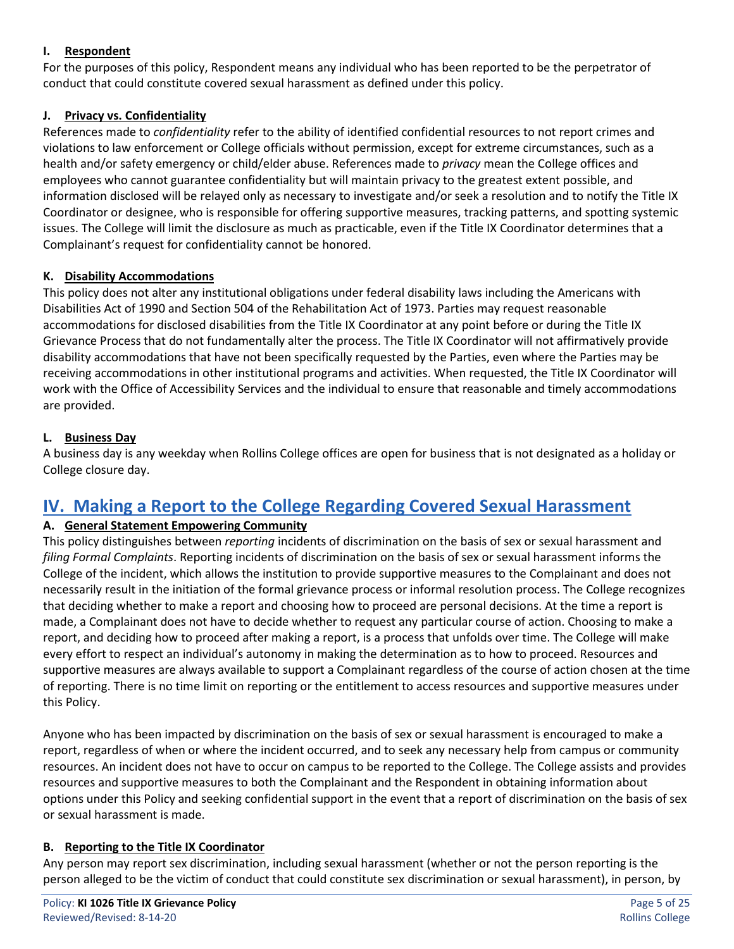#### **I. Respondent**

For the purposes of this policy, Respondent means any individual who has been reported to be the perpetrator of conduct that could constitute covered sexual harassment as defined under this policy.

# **J. Privacy vs. Confidentiality**

References made to *confidentiality* refer to the ability of identified confidential resources to not report crimes and violations to law enforcement or College officials without permission, except for extreme circumstances, such as a health and/or safety emergency or child/elder abuse. References made to *privacy* mean the College offices and employees who cannot guarantee confidentiality but will maintain privacy to the greatest extent possible, and information disclosed will be relayed only as necessary to investigate and/or seek a resolution and to notify the Title IX Coordinator or designee, who is responsible for offering supportive measures, tracking patterns, and spotting systemic issues. The College will limit the disclosure as much as practicable, even if the Title IX Coordinator determines that a Complainant's request for confidentiality cannot be honored.

#### **K. Disability Accommodations**

This policy does not alter any institutional obligations under federal disability laws including the Americans with Disabilities Act of 1990 and Section 504 of the Rehabilitation Act of 1973. Parties may request reasonable accommodations for disclosed disabilities from the Title IX Coordinator at any point before or during the Title IX Grievance Process that do not fundamentally alter the process. The Title IX Coordinator will not affirmatively provide disability accommodations that have not been specifically requested by the Parties, even where the Parties may be receiving accommodations in other institutional programs and activities. When requested, the Title IX Coordinator will work with the Office of Accessibility Services and the individual to ensure that reasonable and timely accommodations are provided.

# **L. Business Day**

A business day is any weekday when Rollins College offices are open for business that is not designated as a holiday or College closure day.

# **IV. Making a Report to the College Regarding Covered Sexual Harassment**

#### **A. General Statement Empowering Community**

This policy distinguishes between *reporting* incidents of discrimination on the basis of sex or sexual harassment and *filing Formal Complaints*. Reporting incidents of discrimination on the basis of sex or sexual harassment informs the College of the incident, which allows the institution to provide supportive measures to the Complainant and does not necessarily result in the initiation of the formal grievance process or informal resolution process. The College recognizes that deciding whether to make a report and choosing how to proceed are personal decisions. At the time a report is made, a Complainant does not have to decide whether to request any particular course of action. Choosing to make a report, and deciding how to proceed after making a report, is a process that unfolds over time. The College will make every effort to respect an individual's autonomy in making the determination as to how to proceed. Resources and supportive measures are always available to support a Complainant regardless of the course of action chosen at the time of reporting. There is no time limit on reporting or the entitlement to access resources and supportive measures under this Policy.

Anyone who has been impacted by discrimination on the basis of sex or sexual harassment is encouraged to make a report, regardless of when or where the incident occurred, and to seek any necessary help from campus or community resources. An incident does not have to occur on campus to be reported to the College. The College assists and provides resources and supportive measures to both the Complainant and the Respondent in obtaining information about options under this Policy and seeking confidential support in the event that a report of discrimination on the basis of sex or sexual harassment is made.

#### **B. Reporting to the Title IX Coordinator**

Any person may report sex discrimination, including sexual harassment (whether or not the person reporting is the person alleged to be the victim of conduct that could constitute sex discrimination or sexual harassment), in person, by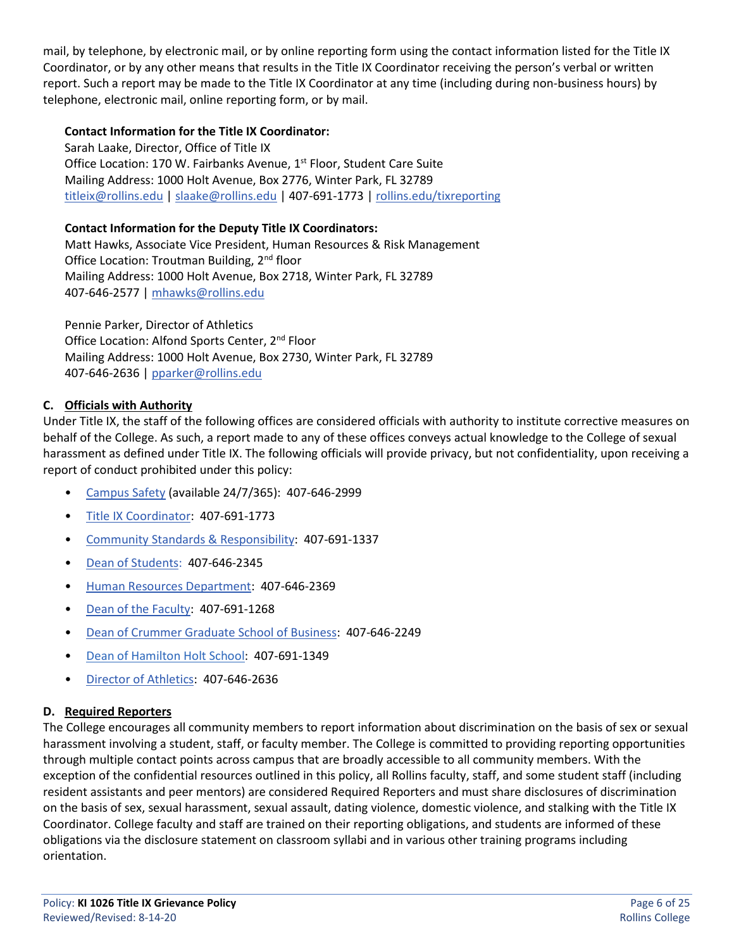mail, by telephone, by electronic mail, or by online reporting form using the contact information listed for the Title IX Coordinator, or by any other means that results in the Title IX Coordinator receiving the person's verbal or written report. Such a report may be made to the Title IX Coordinator at any time (including during non-business hours) by telephone, electronic mail, online reporting form, or by mail.

#### **Contact Information for the Title IX Coordinator:**

Sarah Laake, Director, Office of Title IX Office Location: 170 W. Fairbanks Avenue, 1<sup>st</sup> Floor, Student Care Suite Mailing Address: 1000 Holt Avenue, Box 2776, Winter Park, FL 32789 [titleix@rollins.edu](mailto:titleix@rollins.edu) | [slaake@rollins.edu](mailto:slaake@rollins.edu) | 407-691-1773 [| rollins.edu/tixreporting](https://cm.maxient.com/reportingform.php?RollinsCollege&layout_id=4)

#### **Contact Information for the Deputy Title IX Coordinators:**

Matt Hawks, Associate Vice President, Human Resources & Risk Management Office Location: Troutman Building, 2<sup>nd</sup> floor Mailing Address: 1000 Holt Avenue, Box 2718, Winter Park, FL 32789 407-646-2577 [| mhawks@rollins.edu](mailto:mhawks@rollins.edu)

Pennie Parker, Director of Athletics Office Location: Alfond Sports Center, 2<sup>nd</sup> Floor Mailing Address: 1000 Holt Avenue, Box 2730, Winter Park, FL 32789 407-646-2636 [| pparker@rollins.edu](mailto:pparker@rollins.edu)

#### **C. Officials with Authority**

Under Title IX, the staff of the following offices are considered officials with authority to institute corrective measures on behalf of the College. As such, a report made to any of these offices conveys actual knowledge to the College of sexual harassment as defined under Title IX. The following officials will provide privacy, but not confidentiality, upon receiving a report of conduct prohibited under this policy:

- [Campus Safety](http://www.rollins.edu/campus-safety/index.html) (available 24/7/365): 407-646-2999
- [Title IX Coordinator:](http://www.rollins.edu/sexual-misconduct/index.html) 407-691-1773
- [Community Standards & Responsibility:](http://www.rollins.edu/community-standards-responsibility/) 407-691-1337
- [Dean of Students:](https://www.rollins.edu/dean-of-students/) 407-646-2345
- [Human Resources Department:](http://www.rollins.edu/human-resources/index.html) 407-646-2369
- [Dean of the Faculty:](http://www.rollins.edu/dean-of-faculty/) 407-691-1268
- [Dean of Crummer Graduate School of Business:](https://crummer.rollins.edu/why-crummer/) 407-646-2249
- [Dean of Hamilton Holt School:](https://www.rollins.edu/evening/contact/) 407-691-1349
- [Director of Athletics:](https://rollinssports.com/staff-directory/pennie-parker/89) 407-646-2636

#### **D. Required Reporters**

The College encourages all community members to report information about discrimination on the basis of sex or sexual harassment involving a student, staff, or faculty member. The College is committed to providing reporting opportunities through multiple contact points across campus that are broadly accessible to all community members. With the exception of the confidential resources outlined in this policy, all Rollins faculty, staff, and some student staff (including resident assistants and peer mentors) are considered Required Reporters and must share disclosures of discrimination on the basis of sex, sexual harassment, sexual assault, dating violence, domestic violence, and stalking with the Title IX Coordinator. College faculty and staff are trained on their reporting obligations, and students are informed of these obligations via the disclosure statement on classroom syllabi and in various other training programs including orientation.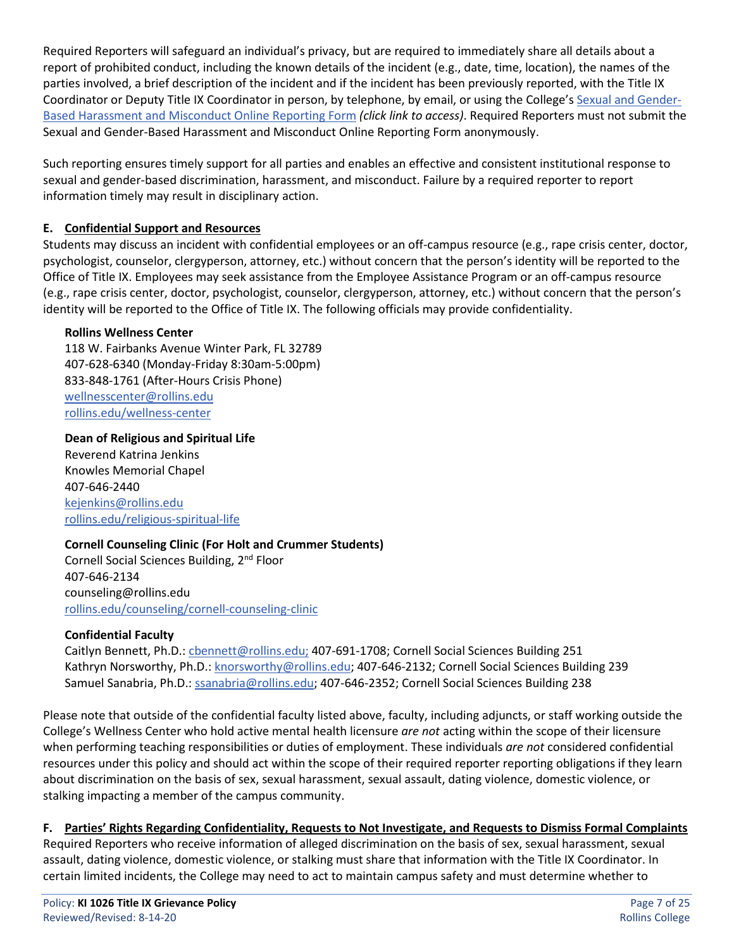Required Reporters will safeguard an individual's privacy, but are required to immediately share all details about a report of prohibited conduct, including the known details of the incident (e.g., date, time, location), the names of the parties involved, a brief description of the incident and if the incident has been previously reported, with the Title IX Coordinator or Deputy Title IX Coordinator in person, by telephone, by email, or using the College's [Sexual and Gender-](https://cm.maxient.com/reportingform.php?RollinsCollege&layout_id=4)[Based Harassment and Misconduct Online Reporting Form](https://cm.maxient.com/reportingform.php?RollinsCollege&layout_id=4) *(click link to access)*. Required Reporters must not submit the Sexual and Gender-Based Harassment and Misconduct Online Reporting Form anonymously.

Such reporting ensures timely support for all parties and enables an effective and consistent institutional response to sexual and gender-based discrimination, harassment, and misconduct. Failure by a required reporter to report information timely may result in disciplinary action.

# **E. Confidential Support and Resources**

Students may discuss an incident with confidential employees or an off-campus resource (e.g., rape crisis center, doctor, psychologist, counselor, clergyperson, attorney, etc.) without concern that the person's identity will be reported to the Office of Title IX. Employees may seek assistance from the Employee Assistance Program or an off-campus resource (e.g., rape crisis center, doctor, psychologist, counselor, clergyperson, attorney, etc.) without concern that the person's identity will be reported to the Office of Title IX. The following officials may provide confidentiality.

#### **Rollins Wellness Center**

118 W. Fairbanks Avenue Winter Park, FL 32789 407-628-6340 (Monday-Friday 8:30am-5:00pm) 833-848-1761 (After-Hours Crisis Phone) [wellnesscenter@rollins.edu](mailto:wellnesscenter@rollins.edu) [rollins.edu/wellness-center](http://www.rollins.edu/wellness-center/index.html)

#### **Dean of Religious and Spiritual Life**

Reverend Katrina Jenkins Knowles Memorial Chapel 407-646-2440 [kejenkins@rollins.edu](mailto:kejenkins@rollins.edu) [rollins.edu/religious-spiritual-life](https://www.rollins.edu/religious-spiritual-life/)

#### **Cornell Counseling Clinic (For Holt and Crummer Students)**

Cornell Social Sciences Building, 2nd Floor 407-646-2134 counseling@rollins.edu [rollins.edu/counseling/cornell-counseling-clinic](https://www.rollins.edu/counseling/cornell-counseling-clinic/)

#### **Confidential Faculty**

Caitlyn Bennett, Ph.D.: [cbennett@rollins.edu;](mailto:cbennett@rollins.edu) 407-691-1708; Cornell Social Sciences Building 251 Kathryn Norsworthy, Ph.D.: [knorsworthy@rollins.edu;](mailto:knorsworthy@rollins.edu) 407-646-2132; Cornell Social Sciences Building 239 Samuel Sanabria, Ph.D.[: ssanabria@rollins.edu;](mailto:ssanabria@rollins.edu) 407-646-2352; Cornell Social Sciences Building 238

Please note that outside of the confidential faculty listed above, faculty, including adjuncts, or staff working outside the College's Wellness Center who hold active mental health licensure *are not* acting within the scope of their licensure when performing teaching responsibilities or duties of employment. These individuals *are not* considered confidential resources under this policy and should act within the scope of their required reporter reporting obligations if they learn about discrimination on the basis of sex, sexual harassment, sexual assault, dating violence, domestic violence, or stalking impacting a member of the campus community.

#### **F. Parties' Rights Regarding Confidentiality, Requests to Not Investigate, and Requests to Dismiss Formal Complaints**

Required Reporters who receive information of alleged discrimination on the basis of sex, sexual harassment, sexual assault, dating violence, domestic violence, or stalking must share that information with the Title IX Coordinator. In certain limited incidents, the College may need to act to maintain campus safety and must determine whether to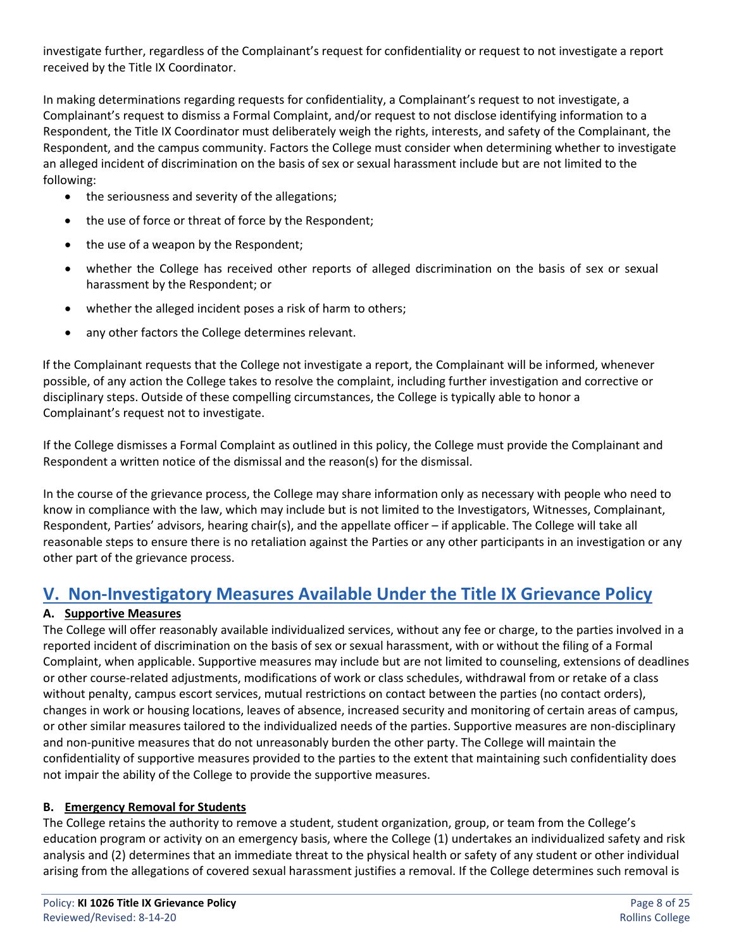investigate further, regardless of the Complainant's request for confidentiality or request to not investigate a report received by the Title IX Coordinator.

In making determinations regarding requests for confidentiality, a Complainant's request to not investigate, a Complainant's request to dismiss a Formal Complaint, and/or request to not disclose identifying information to a Respondent, the Title IX Coordinator must deliberately weigh the rights, interests, and safety of the Complainant, the Respondent, and the campus community. Factors the College must consider when determining whether to investigate an alleged incident of discrimination on the basis of sex or sexual harassment include but are not limited to the following:

- the seriousness and severity of the allegations;
- the use of force or threat of force by the Respondent;
- the use of a weapon by the Respondent;
- whether the College has received other reports of alleged discrimination on the basis of sex or sexual harassment by the Respondent; or
- whether the alleged incident poses a risk of harm to others;
- any other factors the College determines relevant.

If the Complainant requests that the College not investigate a report, the Complainant will be informed, whenever possible, of any action the College takes to resolve the complaint, including further investigation and corrective or disciplinary steps. Outside of these compelling circumstances, the College is typically able to honor a Complainant's request not to investigate.

If the College dismisses a Formal Complaint as outlined in this policy, the College must provide the Complainant and Respondent a written notice of the dismissal and the reason(s) for the dismissal.

In the course of the grievance process, the College may share information only as necessary with people who need to know in compliance with the law, which may include but is not limited to the Investigators, Witnesses, Complainant, Respondent, Parties' advisors, hearing chair(s), and the appellate officer – if applicable. The College will take all reasonable steps to ensure there is no retaliation against the Parties or any other participants in an investigation or any other part of the grievance process.

# **V. Non-Investigatory Measures Available Under the Title IX Grievance Policy**

# **A. Supportive Measures**

The College will offer reasonably available individualized services, without any fee or charge, to the parties involved in a reported incident of discrimination on the basis of sex or sexual harassment, with or without the filing of a Formal Complaint, when applicable. Supportive measures may include but are not limited to counseling, extensions of deadlines or other course-related adjustments, modifications of work or class schedules, withdrawal from or retake of a class without penalty, campus escort services, mutual restrictions on contact between the parties (no contact orders), changes in work or housing locations, leaves of absence, increased security and monitoring of certain areas of campus, or other similar measures tailored to the individualized needs of the parties. Supportive measures are non-disciplinary and non-punitive measures that do not unreasonably burden the other party. The College will maintain the confidentiality of supportive measures provided to the parties to the extent that maintaining such confidentiality does not impair the ability of the College to provide the supportive measures.

#### **B. Emergency Removal for Students**

The College retains the authority to remove a student, student organization, group, or team from the College's education program or activity on an emergency basis, where the College (1) undertakes an individualized safety and risk analysis and (2) determines that an immediate threat to the physical health or safety of any student or other individual arising from the allegations of covered sexual harassment justifies a removal. If the College determines such removal is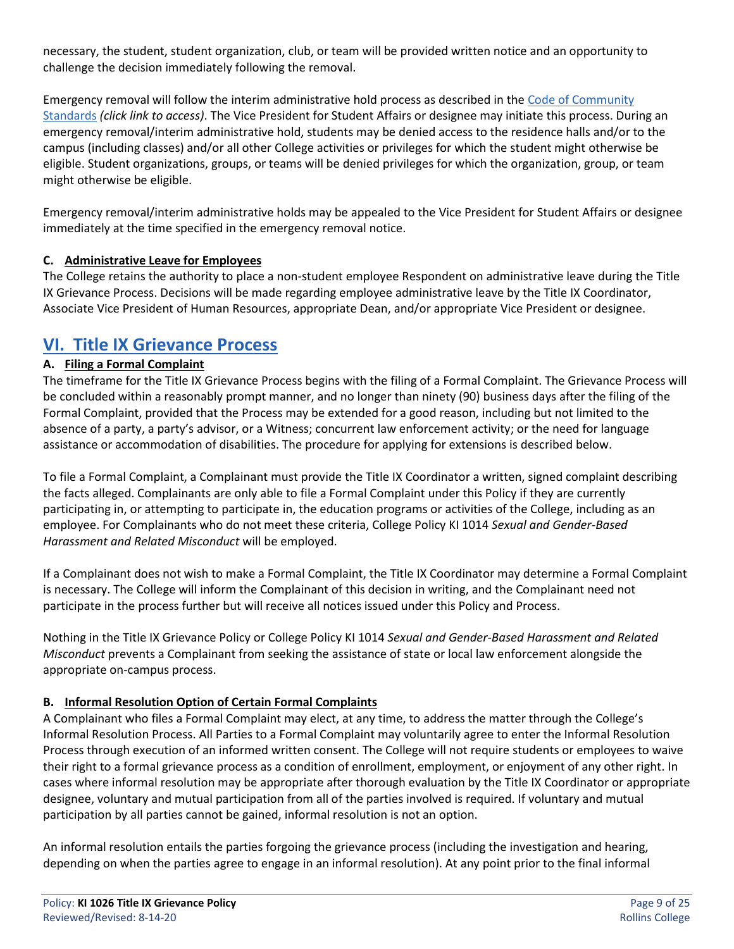necessary, the student, student organization, club, or team will be provided written notice and an opportunity to challenge the decision immediately following the removal.

Emergency removal will follow the interim administrative hold process as described in the [Code of Community](https://www.rollins.edu/community-standards-responsibility/documents/rollins-college-code-of-community-standards.pdf)  [Standards](https://www.rollins.edu/community-standards-responsibility/documents/rollins-college-code-of-community-standards.pdf) *(click link to access)*. The Vice President for Student Affairs or designee may initiate this process. During an emergency removal/interim administrative hold, students may be denied access to the residence halls and/or to the campus (including classes) and/or all other College activities or privileges for which the student might otherwise be eligible. Student organizations, groups, or teams will be denied privileges for which the organization, group, or team might otherwise be eligible.

Emergency removal/interim administrative holds may be appealed to the Vice President for Student Affairs or designee immediately at the time specified in the emergency removal notice.

# **C. Administrative Leave for Employees**

The College retains the authority to place a non-student employee Respondent on administrative leave during the Title IX Grievance Process. Decisions will be made regarding employee administrative leave by the Title IX Coordinator, Associate Vice President of Human Resources, appropriate Dean, and/or appropriate Vice President or designee.

# **VI. Title IX Grievance Process**

# **A. Filing a Formal Complaint**

The timeframe for the Title IX Grievance Process begins with the filing of a Formal Complaint. The Grievance Process will be concluded within a reasonably prompt manner, and no longer than ninety (90) business days after the filing of the Formal Complaint, provided that the Process may be extended for a good reason, including but not limited to the absence of a party, a party's advisor, or a Witness; concurrent law enforcement activity; or the need for language assistance or accommodation of disabilities. The procedure for applying for extensions is described below.

To file a Formal Complaint, a Complainant must provide the Title IX Coordinator a written, signed complaint describing the facts alleged. Complainants are only able to file a Formal Complaint under this Policy if they are currently participating in, or attempting to participate in, the education programs or activities of the College, including as an employee. For Complainants who do not meet these criteria, College Policy KI 1014 *Sexual and Gender-Based Harassment and Related Misconduct* will be employed.

If a Complainant does not wish to make a Formal Complaint, the Title IX Coordinator may determine a Formal Complaint is necessary. The College will inform the Complainant of this decision in writing, and the Complainant need not participate in the process further but will receive all notices issued under this Policy and Process.

Nothing in the Title IX Grievance Policy or College Policy KI 1014 *Sexual and Gender-Based Harassment and Related Misconduct* prevents a Complainant from seeking the assistance of state or local law enforcement alongside the appropriate on-campus process.

#### **B. Informal Resolution Option of Certain Formal Complaints**

A Complainant who files a Formal Complaint may elect, at any time, to address the matter through the College's Informal Resolution Process. All Parties to a Formal Complaint may voluntarily agree to enter the Informal Resolution Process through execution of an informed written consent. The College will not require students or employees to waive their right to a formal grievance process as a condition of enrollment, employment, or enjoyment of any other right. In cases where informal resolution may be appropriate after thorough evaluation by the Title IX Coordinator or appropriate designee, voluntary and mutual participation from all of the parties involved is required. If voluntary and mutual participation by all parties cannot be gained, informal resolution is not an option.

An informal resolution entails the parties forgoing the grievance process (including the investigation and hearing, depending on when the parties agree to engage in an informal resolution). At any point prior to the final informal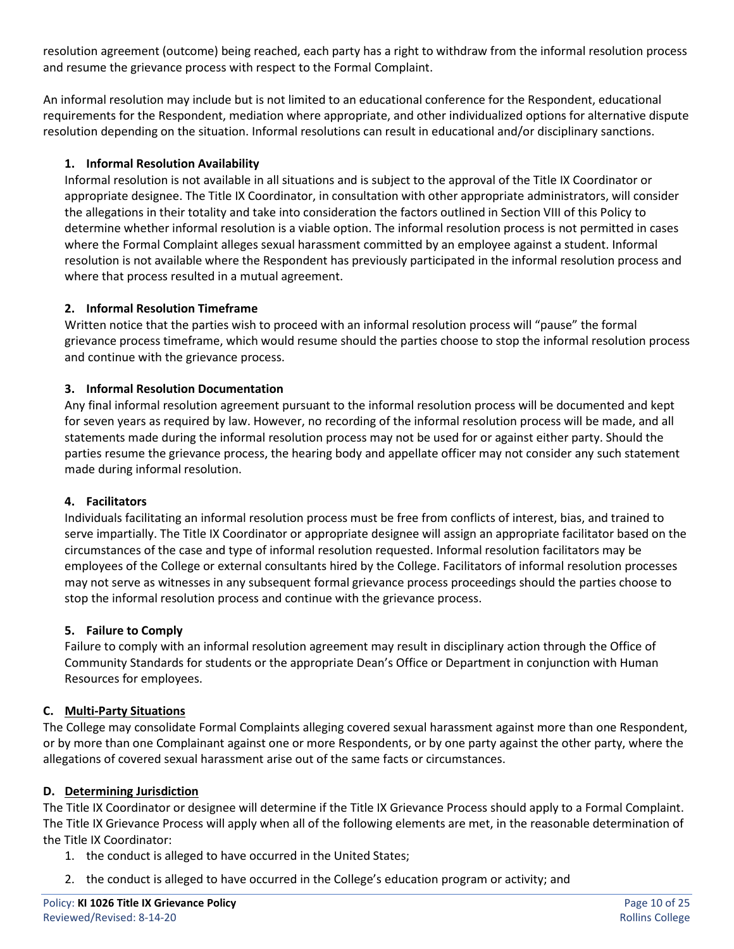resolution agreement (outcome) being reached, each party has a right to withdraw from the informal resolution process and resume the grievance process with respect to the Formal Complaint.

An informal resolution may include but is not limited to an educational conference for the Respondent, educational requirements for the Respondent, mediation where appropriate, and other individualized options for alternative dispute resolution depending on the situation. Informal resolutions can result in educational and/or disciplinary sanctions.

### **1. Informal Resolution Availability**

Informal resolution is not available in all situations and is subject to the approval of the Title IX Coordinator or appropriate designee. The Title IX Coordinator, in consultation with other appropriate administrators, will consider the allegations in their totality and take into consideration the factors outlined in Section VIII of this Policy to determine whether informal resolution is a viable option. The informal resolution process is not permitted in cases where the Formal Complaint alleges sexual harassment committed by an employee against a student. Informal resolution is not available where the Respondent has previously participated in the informal resolution process and where that process resulted in a mutual agreement.

#### **2. Informal Resolution Timeframe**

Written notice that the parties wish to proceed with an informal resolution process will "pause" the formal grievance process timeframe, which would resume should the parties choose to stop the informal resolution process and continue with the grievance process.

#### **3. Informal Resolution Documentation**

Any final informal resolution agreement pursuant to the informal resolution process will be documented and kept for seven years as required by law. However, no recording of the informal resolution process will be made, and all statements made during the informal resolution process may not be used for or against either party. Should the parties resume the grievance process, the hearing body and appellate officer may not consider any such statement made during informal resolution.

#### **4. Facilitators**

Individuals facilitating an informal resolution process must be free from conflicts of interest, bias, and trained to serve impartially. The Title IX Coordinator or appropriate designee will assign an appropriate facilitator based on the circumstances of the case and type of informal resolution requested. Informal resolution facilitators may be employees of the College or external consultants hired by the College. Facilitators of informal resolution processes may not serve as witnesses in any subsequent formal grievance process proceedings should the parties choose to stop the informal resolution process and continue with the grievance process.

#### **5. Failure to Comply**

Failure to comply with an informal resolution agreement may result in disciplinary action through the Office of Community Standards for students or the appropriate Dean's Office or Department in conjunction with Human Resources for employees.

#### **C. Multi-Party Situations**

The College may consolidate Formal Complaints alleging covered sexual harassment against more than one Respondent, or by more than one Complainant against one or more Respondents, or by one party against the other party, where the allegations of covered sexual harassment arise out of the same facts or circumstances.

#### **D. Determining Jurisdiction**

The Title IX Coordinator or designee will determine if the Title IX Grievance Process should apply to a Formal Complaint. The Title IX Grievance Process will apply when all of the following elements are met, in the reasonable determination of the Title IX Coordinator:

- 1. the conduct is alleged to have occurred in the United States;
- 2. the conduct is alleged to have occurred in the College's education program or activity; and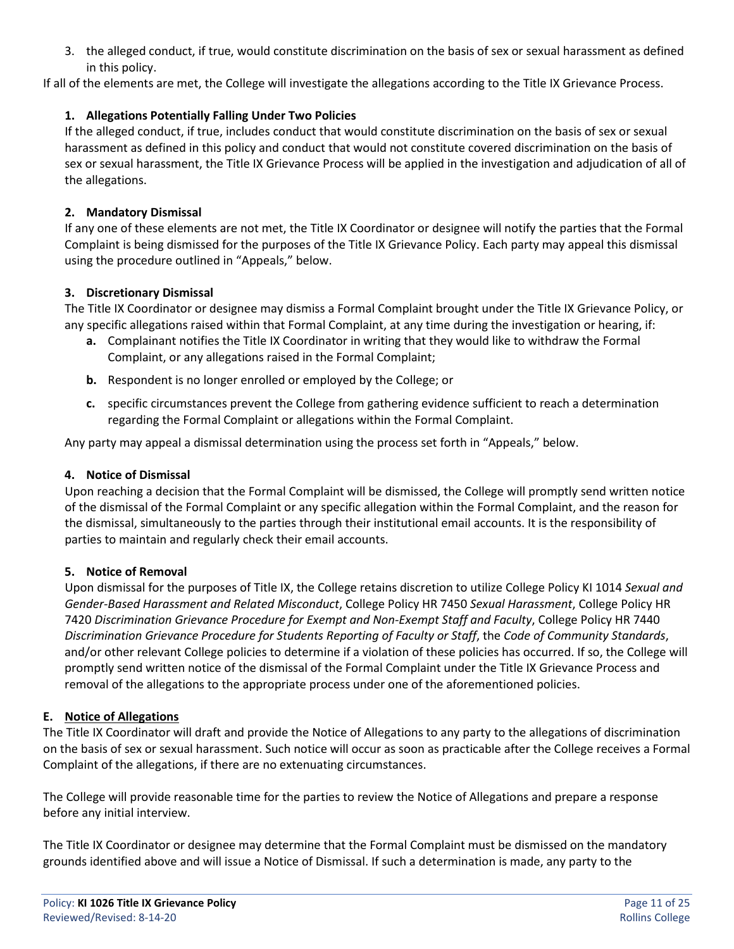3. the alleged conduct, if true, would constitute discrimination on the basis of sex or sexual harassment as defined in this policy.

If all of the elements are met, the College will investigate the allegations according to the Title IX Grievance Process.

### **1. Allegations Potentially Falling Under Two Policies**

If the alleged conduct, if true, includes conduct that would constitute discrimination on the basis of sex or sexual harassment as defined in this policy and conduct that would not constitute covered discrimination on the basis of sex or sexual harassment, the Title IX Grievance Process will be applied in the investigation and adjudication of all of the allegations.

#### **2. Mandatory Dismissal**

If any one of these elements are not met, the Title IX Coordinator or designee will notify the parties that the Formal Complaint is being dismissed for the purposes of the Title IX Grievance Policy. Each party may appeal this dismissal using the procedure outlined in "Appeals," below.

#### **3. Discretionary Dismissal**

The Title IX Coordinator or designee may dismiss a Formal Complaint brought under the Title IX Grievance Policy, or any specific allegations raised within that Formal Complaint, at any time during the investigation or hearing, if:

- **a.** Complainant notifies the Title IX Coordinator in writing that they would like to withdraw the Formal Complaint, or any allegations raised in the Formal Complaint;
- **b.** Respondent is no longer enrolled or employed by the College; or
- **c.** specific circumstances prevent the College from gathering evidence sufficient to reach a determination regarding the Formal Complaint or allegations within the Formal Complaint.

Any party may appeal a dismissal determination using the process set forth in "Appeals," below.

#### **4. Notice of Dismissal**

Upon reaching a decision that the Formal Complaint will be dismissed, the College will promptly send written notice of the dismissal of the Formal Complaint or any specific allegation within the Formal Complaint, and the reason for the dismissal, simultaneously to the parties through their institutional email accounts. It is the responsibility of parties to maintain and regularly check their email accounts.

#### **5. Notice of Removal**

Upon dismissal for the purposes of Title IX, the College retains discretion to utilize College Policy KI 1014 *Sexual and Gender-Based Harassment and Related Misconduct*, College Policy HR 7450 *Sexual Harassment*, College Policy HR 7420 *Discrimination Grievance Procedure for Exempt and Non-Exempt Staff and Faculty*, College Policy HR 7440 *Discrimination Grievance Procedure for Students Reporting of Faculty or Staff*, the *Code of Community Standards*, and/or other relevant College policies to determine if a violation of these policies has occurred. If so, the College will promptly send written notice of the dismissal of the Formal Complaint under the Title IX Grievance Process and removal of the allegations to the appropriate process under one of the aforementioned policies.

#### **E. Notice of Allegations**

The Title IX Coordinator will draft and provide the Notice of Allegations to any party to the allegations of discrimination on the basis of sex or sexual harassment. Such notice will occur as soon as practicable after the College receives a Formal Complaint of the allegations, if there are no extenuating circumstances.

The College will provide reasonable time for the parties to review the Notice of Allegations and prepare a response before any initial interview.

The Title IX Coordinator or designee may determine that the Formal Complaint must be dismissed on the mandatory grounds identified above and will issue a Notice of Dismissal. If such a determination is made, any party to the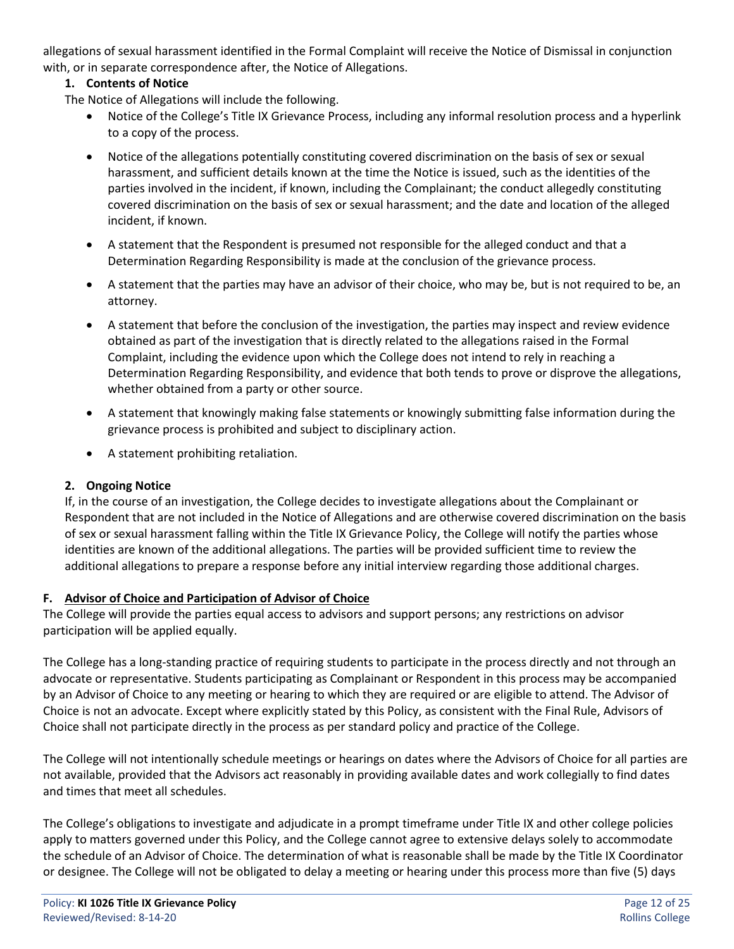allegations of sexual harassment identified in the Formal Complaint will receive the Notice of Dismissal in conjunction with, or in separate correspondence after, the Notice of Allegations.

# **1. Contents of Notice**

The Notice of Allegations will include the following.

- Notice of the College's Title IX Grievance Process, including any informal resolution process and a hyperlink to a copy of the process.
- Notice of the allegations potentially constituting covered discrimination on the basis of sex or sexual harassment, and sufficient details known at the time the Notice is issued, such as the identities of the parties involved in the incident, if known, including the Complainant; the conduct allegedly constituting covered discrimination on the basis of sex or sexual harassment; and the date and location of the alleged incident, if known.
- A statement that the Respondent is presumed not responsible for the alleged conduct and that a Determination Regarding Responsibility is made at the conclusion of the grievance process.
- A statement that the parties may have an advisor of their choice, who may be, but is not required to be, an attorney.
- A statement that before the conclusion of the investigation, the parties may inspect and review evidence obtained as part of the investigation that is directly related to the allegations raised in the Formal Complaint, including the evidence upon which the College does not intend to rely in reaching a Determination Regarding Responsibility, and evidence that both tends to prove or disprove the allegations, whether obtained from a party or other source.
- A statement that knowingly making false statements or knowingly submitting false information during the grievance process is prohibited and subject to disciplinary action.
- A statement prohibiting retaliation.

# **2. Ongoing Notice**

If, in the course of an investigation, the College decides to investigate allegations about the Complainant or Respondent that are not included in the Notice of Allegations and are otherwise covered discrimination on the basis of sex or sexual harassment falling within the Title IX Grievance Policy, the College will notify the parties whose identities are known of the additional allegations. The parties will be provided sufficient time to review the additional allegations to prepare a response before any initial interview regarding those additional charges.

# **F. Advisor of Choice and Participation of Advisor of Choice**

The College will provide the parties equal access to advisors and support persons; any restrictions on advisor participation will be applied equally.

The College has a long-standing practice of requiring students to participate in the process directly and not through an advocate or representative. Students participating as Complainant or Respondent in this process may be accompanied by an Advisor of Choice to any meeting or hearing to which they are required or are eligible to attend. The Advisor of Choice is not an advocate. Except where explicitly stated by this Policy, as consistent with the Final Rule, Advisors of Choice shall not participate directly in the process as per standard policy and practice of the College.

The College will not intentionally schedule meetings or hearings on dates where the Advisors of Choice for all parties are not available, provided that the Advisors act reasonably in providing available dates and work collegially to find dates and times that meet all schedules.

The College's obligations to investigate and adjudicate in a prompt timeframe under Title IX and other college policies apply to matters governed under this Policy, and the College cannot agree to extensive delays solely to accommodate the schedule of an Advisor of Choice. The determination of what is reasonable shall be made by the Title IX Coordinator or designee. The College will not be obligated to delay a meeting or hearing under this process more than five (5) days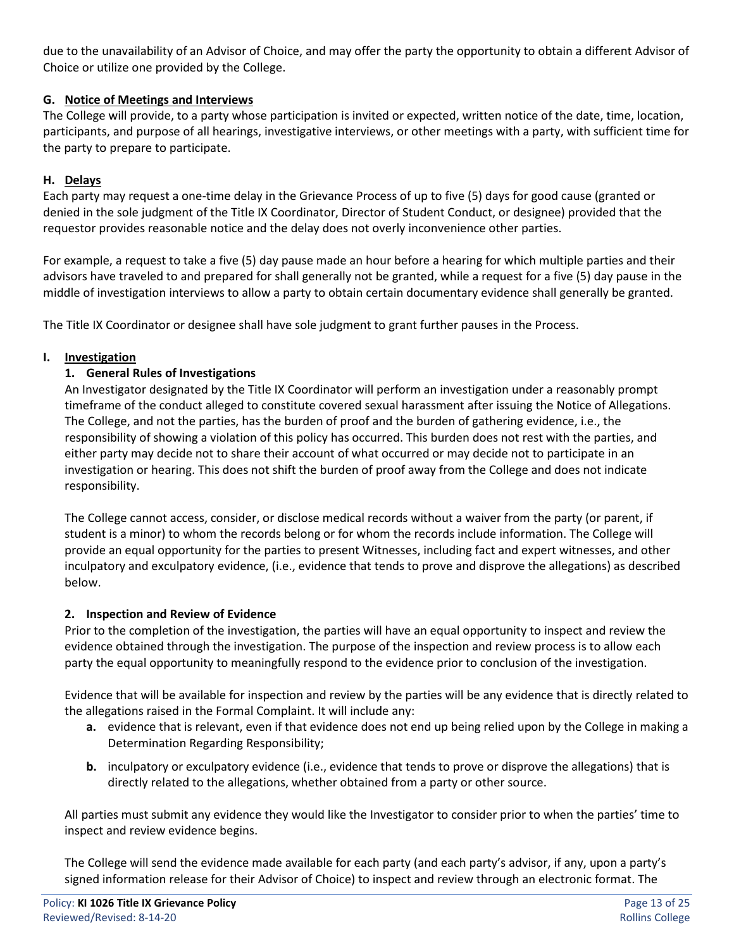due to the unavailability of an Advisor of Choice, and may offer the party the opportunity to obtain a different Advisor of Choice or utilize one provided by the College.

# **G. Notice of Meetings and Interviews**

The College will provide, to a party whose participation is invited or expected, written notice of the date, time, location, participants, and purpose of all hearings, investigative interviews, or other meetings with a party, with sufficient time for the party to prepare to participate.

### **H. Delays**

Each party may request a one-time delay in the Grievance Process of up to five (5) days for good cause (granted or denied in the sole judgment of the Title IX Coordinator, Director of Student Conduct, or designee) provided that the requestor provides reasonable notice and the delay does not overly inconvenience other parties.

For example, a request to take a five (5) day pause made an hour before a hearing for which multiple parties and their advisors have traveled to and prepared for shall generally not be granted, while a request for a five (5) day pause in the middle of investigation interviews to allow a party to obtain certain documentary evidence shall generally be granted.

The Title IX Coordinator or designee shall have sole judgment to grant further pauses in the Process.

# **I. Investigation**

# **1. General Rules of Investigations**

An Investigator designated by the Title IX Coordinator will perform an investigation under a reasonably prompt timeframe of the conduct alleged to constitute covered sexual harassment after issuing the Notice of Allegations. The College, and not the parties, has the burden of proof and the burden of gathering evidence, i.e., the responsibility of showing a violation of this policy has occurred. This burden does not rest with the parties, and either party may decide not to share their account of what occurred or may decide not to participate in an investigation or hearing. This does not shift the burden of proof away from the College and does not indicate responsibility.

The College cannot access, consider, or disclose medical records without a waiver from the party (or parent, if student is a minor) to whom the records belong or for whom the records include information. The College will provide an equal opportunity for the parties to present Witnesses, including fact and expert witnesses, and other inculpatory and exculpatory evidence, (i.e., evidence that tends to prove and disprove the allegations) as described below.

#### **2. Inspection and Review of Evidence**

Prior to the completion of the investigation, the parties will have an equal opportunity to inspect and review the evidence obtained through the investigation. The purpose of the inspection and review process is to allow each party the equal opportunity to meaningfully respond to the evidence prior to conclusion of the investigation.

Evidence that will be available for inspection and review by the parties will be any evidence that is directly related to the allegations raised in the Formal Complaint. It will include any:

- **a.** evidence that is relevant, even if that evidence does not end up being relied upon by the College in making a Determination Regarding Responsibility;
- **b.** inculpatory or exculpatory evidence (i.e., evidence that tends to prove or disprove the allegations) that is directly related to the allegations, whether obtained from a party or other source.

All parties must submit any evidence they would like the Investigator to consider prior to when the parties' time to inspect and review evidence begins.

The College will send the evidence made available for each party (and each party's advisor, if any, upon a party's signed information release for their Advisor of Choice) to inspect and review through an electronic format. The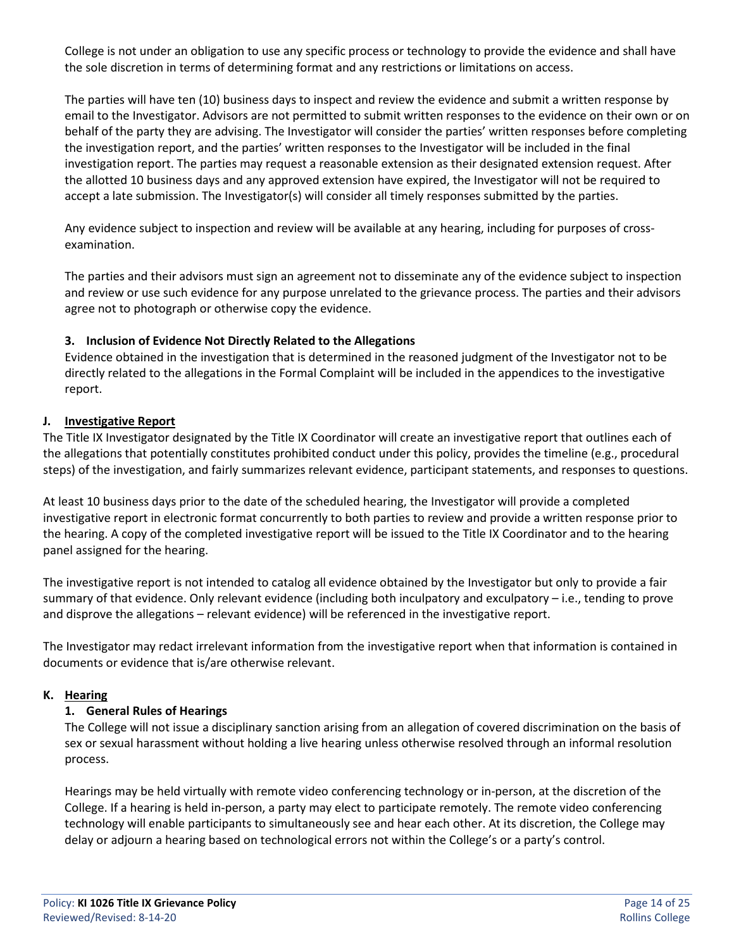College is not under an obligation to use any specific process or technology to provide the evidence and shall have the sole discretion in terms of determining format and any restrictions or limitations on access.

The parties will have ten (10) business days to inspect and review the evidence and submit a written response by email to the Investigator. Advisors are not permitted to submit written responses to the evidence on their own or on behalf of the party they are advising. The Investigator will consider the parties' written responses before completing the investigation report, and the parties' written responses to the Investigator will be included in the final investigation report. The parties may request a reasonable extension as their designated extension request. After the allotted 10 business days and any approved extension have expired, the Investigator will not be required to accept a late submission. The Investigator(s) will consider all timely responses submitted by the parties.

Any evidence subject to inspection and review will be available at any hearing, including for purposes of crossexamination.

The parties and their advisors must sign an agreement not to disseminate any of the evidence subject to inspection and review or use such evidence for any purpose unrelated to the grievance process. The parties and their advisors agree not to photograph or otherwise copy the evidence.

#### **3. Inclusion of Evidence Not Directly Related to the Allegations**

Evidence obtained in the investigation that is determined in the reasoned judgment of the Investigator not to be directly related to the allegations in the Formal Complaint will be included in the appendices to the investigative report.

#### **J. Investigative Report**

The Title IX Investigator designated by the Title IX Coordinator will create an investigative report that outlines each of the allegations that potentially constitutes prohibited conduct under this policy, provides the timeline (e.g., procedural steps) of the investigation, and fairly summarizes relevant evidence, participant statements, and responses to questions.

At least 10 business days prior to the date of the scheduled hearing, the Investigator will provide a completed investigative report in electronic format concurrently to both parties to review and provide a written response prior to the hearing. A copy of the completed investigative report will be issued to the Title IX Coordinator and to the hearing panel assigned for the hearing.

The investigative report is not intended to catalog all evidence obtained by the Investigator but only to provide a fair summary of that evidence. Only relevant evidence (including both inculpatory and exculpatory – i.e., tending to prove and disprove the allegations – relevant evidence) will be referenced in the investigative report.

The Investigator may redact irrelevant information from the investigative report when that information is contained in documents or evidence that is/are otherwise relevant.

#### **K. Hearing**

#### **1. General Rules of Hearings**

The College will not issue a disciplinary sanction arising from an allegation of covered discrimination on the basis of sex or sexual harassment without holding a live hearing unless otherwise resolved through an informal resolution process.

Hearings may be held virtually with remote video conferencing technology or in-person, at the discretion of the College. If a hearing is held in-person, a party may elect to participate remotely. The remote video conferencing technology will enable participants to simultaneously see and hear each other. At its discretion, the College may delay or adjourn a hearing based on technological errors not within the College's or a party's control.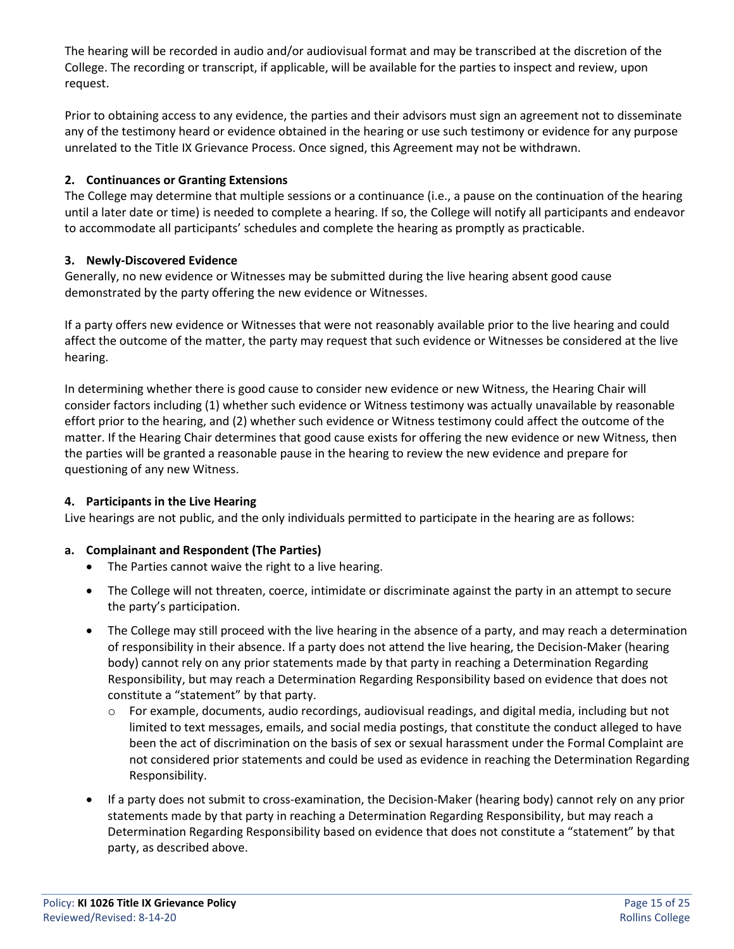The hearing will be recorded in audio and/or audiovisual format and may be transcribed at the discretion of the College. The recording or transcript, if applicable, will be available for the parties to inspect and review, upon request.

Prior to obtaining access to any evidence, the parties and their advisors must sign an agreement not to disseminate any of the testimony heard or evidence obtained in the hearing or use such testimony or evidence for any purpose unrelated to the Title IX Grievance Process. Once signed, this Agreement may not be withdrawn.

# **2. Continuances or Granting Extensions**

The College may determine that multiple sessions or a continuance (i.e., a pause on the continuation of the hearing until a later date or time) is needed to complete a hearing. If so, the College will notify all participants and endeavor to accommodate all participants' schedules and complete the hearing as promptly as practicable.

# **3. Newly-Discovered Evidence**

Generally, no new evidence or Witnesses may be submitted during the live hearing absent good cause demonstrated by the party offering the new evidence or Witnesses.

If a party offers new evidence or Witnesses that were not reasonably available prior to the live hearing and could affect the outcome of the matter, the party may request that such evidence or Witnesses be considered at the live hearing.

In determining whether there is good cause to consider new evidence or new Witness, the Hearing Chair will consider factors including (1) whether such evidence or Witness testimony was actually unavailable by reasonable effort prior to the hearing, and (2) whether such evidence or Witness testimony could affect the outcome of the matter. If the Hearing Chair determines that good cause exists for offering the new evidence or new Witness, then the parties will be granted a reasonable pause in the hearing to review the new evidence and prepare for questioning of any new Witness.

#### **4. Participants in the Live Hearing**

Live hearings are not public, and the only individuals permitted to participate in the hearing are as follows:

# **a. Complainant and Respondent (The Parties)**

- The Parties cannot waive the right to a live hearing.
- The College will not threaten, coerce, intimidate or discriminate against the party in an attempt to secure the party's participation.
- The College may still proceed with the live hearing in the absence of a party, and may reach a determination of responsibility in their absence. If a party does not attend the live hearing, the Decision-Maker (hearing body) cannot rely on any prior statements made by that party in reaching a Determination Regarding Responsibility, but may reach a Determination Regarding Responsibility based on evidence that does not constitute a "statement" by that party.
	- o For example, documents, audio recordings, audiovisual readings, and digital media, including but not limited to text messages, emails, and social media postings, that constitute the conduct alleged to have been the act of discrimination on the basis of sex or sexual harassment under the Formal Complaint are not considered prior statements and could be used as evidence in reaching the Determination Regarding Responsibility.
- If a party does not submit to cross-examination, the Decision-Maker (hearing body) cannot rely on any prior statements made by that party in reaching a Determination Regarding Responsibility, but may reach a Determination Regarding Responsibility based on evidence that does not constitute a "statement" by that party, as described above.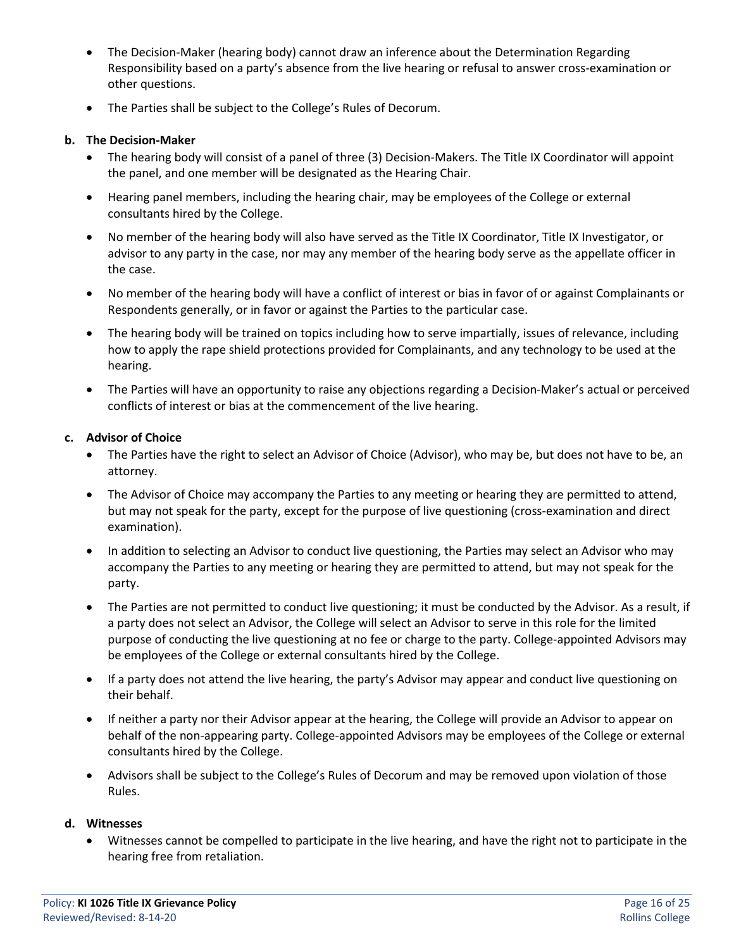- The Decision-Maker (hearing body) cannot draw an inference about the Determination Regarding Responsibility based on a party's absence from the live hearing or refusal to answer cross-examination or other questions.
- The Parties shall be subject to the College's Rules of Decorum.

#### **b. The Decision-Maker**

- The hearing body will consist of a panel of three (3) Decision-Makers. The Title IX Coordinator will appoint the panel, and one member will be designated as the Hearing Chair.
- Hearing panel members, including the hearing chair, may be employees of the College or external consultants hired by the College.
- No member of the hearing body will also have served as the Title IX Coordinator, Title IX Investigator, or advisor to any party in the case, nor may any member of the hearing body serve as the appellate officer in the case.
- No member of the hearing body will have a conflict of interest or bias in favor of or against Complainants or Respondents generally, or in favor or against the Parties to the particular case.
- The hearing body will be trained on topics including how to serve impartially, issues of relevance, including how to apply the rape shield protections provided for Complainants, and any technology to be used at the hearing.
- The Parties will have an opportunity to raise any objections regarding a Decision-Maker's actual or perceived conflicts of interest or bias at the commencement of the live hearing.

#### **c. Advisor of Choice**

- The Parties have the right to select an Advisor of Choice (Advisor), who may be, but does not have to be, an attorney.
- The Advisor of Choice may accompany the Parties to any meeting or hearing they are permitted to attend, but may not speak for the party, except for the purpose of live questioning (cross-examination and direct examination).
- In addition to selecting an Advisor to conduct live questioning, the Parties may select an Advisor who may accompany the Parties to any meeting or hearing they are permitted to attend, but may not speak for the party.
- The Parties are not permitted to conduct live questioning; it must be conducted by the Advisor. As a result, if a party does not select an Advisor, the College will select an Advisor to serve in this role for the limited purpose of conducting the live questioning at no fee or charge to the party. College-appointed Advisors may be employees of the College or external consultants hired by the College.
- If a party does not attend the live hearing, the party's Advisor may appear and conduct live questioning on their behalf.
- If neither a party nor their Advisor appear at the hearing, the College will provide an Advisor to appear on behalf of the non-appearing party. College-appointed Advisors may be employees of the College or external consultants hired by the College.
- Advisors shall be subject to the College's Rules of Decorum and may be removed upon violation of those Rules.

#### **d. Witnesses**

• Witnesses cannot be compelled to participate in the live hearing, and have the right not to participate in the hearing free from retaliation.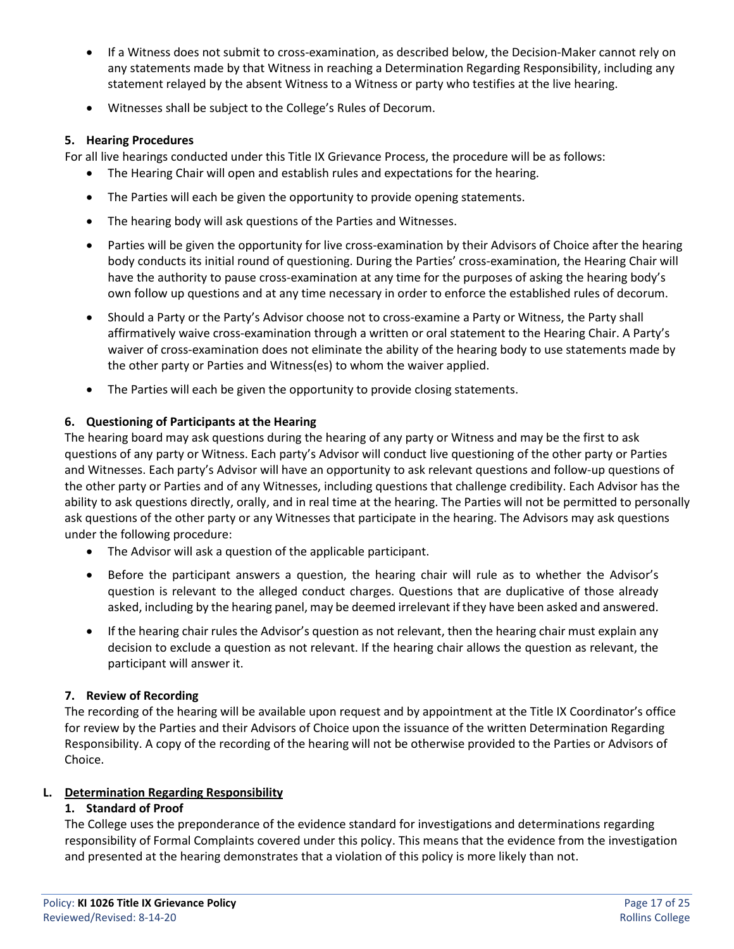- If a Witness does not submit to cross-examination, as described below, the Decision-Maker cannot rely on any statements made by that Witness in reaching a Determination Regarding Responsibility, including any statement relayed by the absent Witness to a Witness or party who testifies at the live hearing.
- Witnesses shall be subject to the College's Rules of Decorum.

#### **5. Hearing Procedures**

For all live hearings conducted under this Title IX Grievance Process, the procedure will be as follows:

- The Hearing Chair will open and establish rules and expectations for the hearing.
- The Parties will each be given the opportunity to provide opening statements.
- The hearing body will ask questions of the Parties and Witnesses.
- Parties will be given the opportunity for live cross-examination by their Advisors of Choice after the hearing body conducts its initial round of questioning. During the Parties' cross-examination, the Hearing Chair will have the authority to pause cross-examination at any time for the purposes of asking the hearing body's own follow up questions and at any time necessary in order to enforce the established rules of decorum.
- Should a Party or the Party's Advisor choose not to cross-examine a Party or Witness, the Party shall affirmatively waive cross-examination through a written or oral statement to the Hearing Chair. A Party's waiver of cross-examination does not eliminate the ability of the hearing body to use statements made by the other party or Parties and Witness(es) to whom the waiver applied.
- The Parties will each be given the opportunity to provide closing statements.

# **6. Questioning of Participants at the Hearing**

The hearing board may ask questions during the hearing of any party or Witness and may be the first to ask questions of any party or Witness. Each party's Advisor will conduct live questioning of the other party or Parties and Witnesses. Each party's Advisor will have an opportunity to ask relevant questions and follow-up questions of the other party or Parties and of any Witnesses, including questions that challenge credibility. Each Advisor has the ability to ask questions directly, orally, and in real time at the hearing. The Parties will not be permitted to personally ask questions of the other party or any Witnesses that participate in the hearing. The Advisors may ask questions under the following procedure:

- The Advisor will ask a question of the applicable participant.
- Before the participant answers a question, the hearing chair will rule as to whether the Advisor's question is relevant to the alleged conduct charges. Questions that are duplicative of those already asked, including by the hearing panel, may be deemed irrelevant if they have been asked and answered.
- If the hearing chair rules the Advisor's question as not relevant, then the hearing chair must explain any decision to exclude a question as not relevant. If the hearing chair allows the question as relevant, the participant will answer it.

# **7. Review of Recording**

The recording of the hearing will be available upon request and by appointment at the Title IX Coordinator's office for review by the Parties and their Advisors of Choice upon the issuance of the written Determination Regarding Responsibility. A copy of the recording of the hearing will not be otherwise provided to the Parties or Advisors of Choice.

# **L. Determination Regarding Responsibility**

# **1. Standard of Proof**

The College uses the preponderance of the evidence standard for investigations and determinations regarding responsibility of Formal Complaints covered under this policy. This means that the evidence from the investigation and presented at the hearing demonstrates that a violation of this policy is more likely than not.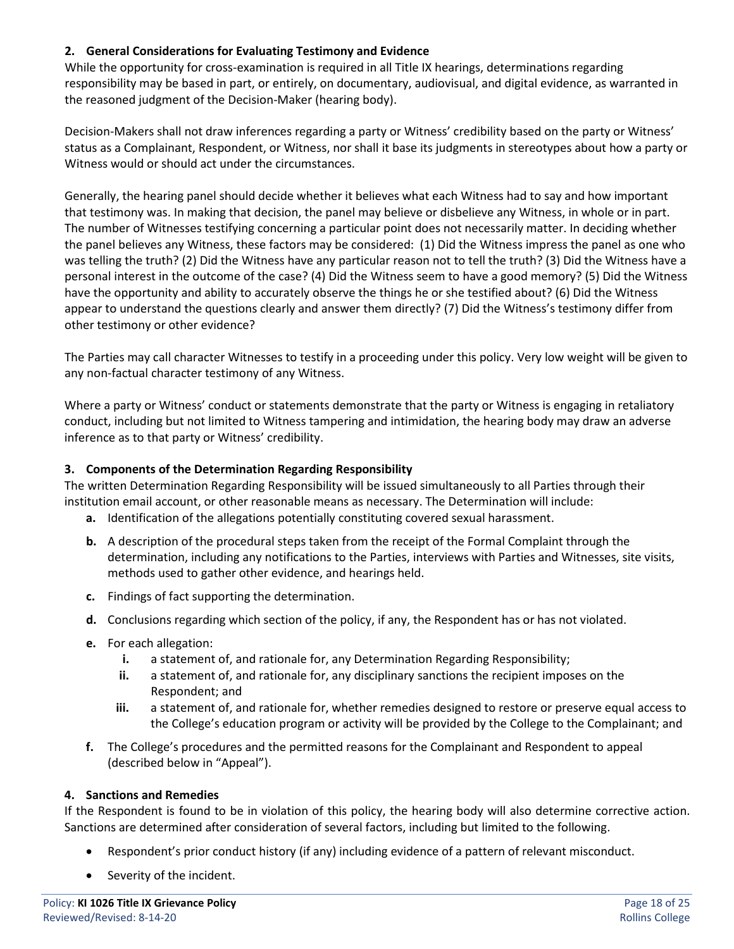#### **2. General Considerations for Evaluating Testimony and Evidence**

While the opportunity for cross-examination is required in all Title IX hearings, determinations regarding responsibility may be based in part, or entirely, on documentary, audiovisual, and digital evidence, as warranted in the reasoned judgment of the Decision-Maker (hearing body).

Decision-Makers shall not draw inferences regarding a party or Witness' credibility based on the party or Witness' status as a Complainant, Respondent, or Witness, nor shall it base its judgments in stereotypes about how a party or Witness would or should act under the circumstances.

Generally, the hearing panel should decide whether it believes what each Witness had to say and how important that testimony was. In making that decision, the panel may believe or disbelieve any Witness, in whole or in part. The number of Witnesses testifying concerning a particular point does not necessarily matter. In deciding whether the panel believes any Witness, these factors may be considered: (1) Did the Witness impress the panel as one who was telling the truth? (2) Did the Witness have any particular reason not to tell the truth? (3) Did the Witness have a personal interest in the outcome of the case? (4) Did the Witness seem to have a good memory? (5) Did the Witness have the opportunity and ability to accurately observe the things he or she testified about? (6) Did the Witness appear to understand the questions clearly and answer them directly? (7) Did the Witness's testimony differ from other testimony or other evidence?

The Parties may call character Witnesses to testify in a proceeding under this policy. Very low weight will be given to any non-factual character testimony of any Witness.

Where a party or Witness' conduct or statements demonstrate that the party or Witness is engaging in retaliatory conduct, including but not limited to Witness tampering and intimidation, the hearing body may draw an adverse inference as to that party or Witness' credibility.

#### **3. Components of the Determination Regarding Responsibility**

The written Determination Regarding Responsibility will be issued simultaneously to all Parties through their institution email account, or other reasonable means as necessary. The Determination will include:

- **a.** Identification of the allegations potentially constituting covered sexual harassment.
- **b.** A description of the procedural steps taken from the receipt of the Formal Complaint through the determination, including any notifications to the Parties, interviews with Parties and Witnesses, site visits, methods used to gather other evidence, and hearings held.
- **c.** Findings of fact supporting the determination.
- **d.** Conclusions regarding which section of the policy, if any, the Respondent has or has not violated.
- **e.** For each allegation:
	- **i.** a statement of, and rationale for, any Determination Regarding Responsibility;
	- **ii.** a statement of, and rationale for, any disciplinary sanctions the recipient imposes on the Respondent; and
	- **iii.** a statement of, and rationale for, whether remedies designed to restore or preserve equal access to the College's education program or activity will be provided by the College to the Complainant; and
- **f.** The College's procedures and the permitted reasons for the Complainant and Respondent to appeal (described below in "Appeal").

#### **4. Sanctions and Remedies**

If the Respondent is found to be in violation of this policy, the hearing body will also determine corrective action. Sanctions are determined after consideration of several factors, including but limited to the following.

- Respondent's prior conduct history (if any) including evidence of a pattern of relevant misconduct.
- Severity of the incident.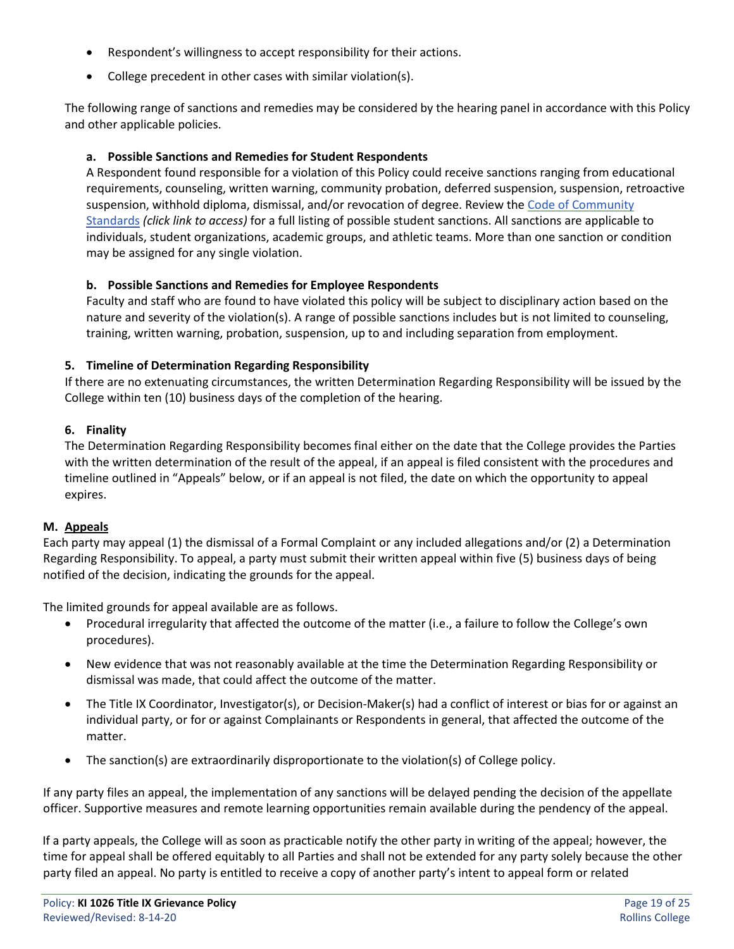- Respondent's willingness to accept responsibility for their actions.
- College precedent in other cases with similar violation(s).

The following range of sanctions and remedies may be considered by the hearing panel in accordance with this Policy and other applicable policies.

#### **a. Possible Sanctions and Remedies for Student Respondents**

A Respondent found responsible for a violation of this Policy could receive sanctions ranging from educational requirements, counseling, written warning, community probation, deferred suspension, suspension, retroactive suspension, withhold diploma, dismissal, and/or revocation of degree. Review the [Code of Community](https://www.rollins.edu/community-standards-responsibility/documents/rollins-college-code-of-community-standards.pdf)  [Standards](https://www.rollins.edu/community-standards-responsibility/documents/rollins-college-code-of-community-standards.pdf) *(click link to access)* for a full listing of possible student sanctions. All sanctions are applicable to individuals, student organizations, academic groups, and athletic teams. More than one sanction or condition may be assigned for any single violation.

#### **b. Possible Sanctions and Remedies for Employee Respondents**

Faculty and staff who are found to have violated this policy will be subject to disciplinary action based on the nature and severity of the violation(s). A range of possible sanctions includes but is not limited to counseling, training, written warning, probation, suspension, up to and including separation from employment.

#### **5. Timeline of Determination Regarding Responsibility**

If there are no extenuating circumstances, the written Determination Regarding Responsibility will be issued by the College within ten (10) business days of the completion of the hearing.

#### **6. Finality**

The Determination Regarding Responsibility becomes final either on the date that the College provides the Parties with the written determination of the result of the appeal, if an appeal is filed consistent with the procedures and timeline outlined in "Appeals" below, or if an appeal is not filed, the date on which the opportunity to appeal expires.

#### **M. Appeals**

Each party may appeal (1) the dismissal of a Formal Complaint or any included allegations and/or (2) a Determination Regarding Responsibility. To appeal, a party must submit their written appeal within five (5) business days of being notified of the decision, indicating the grounds for the appeal.

The limited grounds for appeal available are as follows.

- Procedural irregularity that affected the outcome of the matter (i.e., a failure to follow the College's own procedures).
- New evidence that was not reasonably available at the time the Determination Regarding Responsibility or dismissal was made, that could affect the outcome of the matter.
- The Title IX Coordinator, Investigator(s), or Decision-Maker(s) had a conflict of interest or bias for or against an individual party, or for or against Complainants or Respondents in general, that affected the outcome of the matter.
- The sanction(s) are extraordinarily disproportionate to the violation(s) of College policy.

If any party files an appeal, the implementation of any sanctions will be delayed pending the decision of the appellate officer. Supportive measures and remote learning opportunities remain available during the pendency of the appeal.

If a party appeals, the College will as soon as practicable notify the other party in writing of the appeal; however, the time for appeal shall be offered equitably to all Parties and shall not be extended for any party solely because the other party filed an appeal. No party is entitled to receive a copy of another party's intent to appeal form or related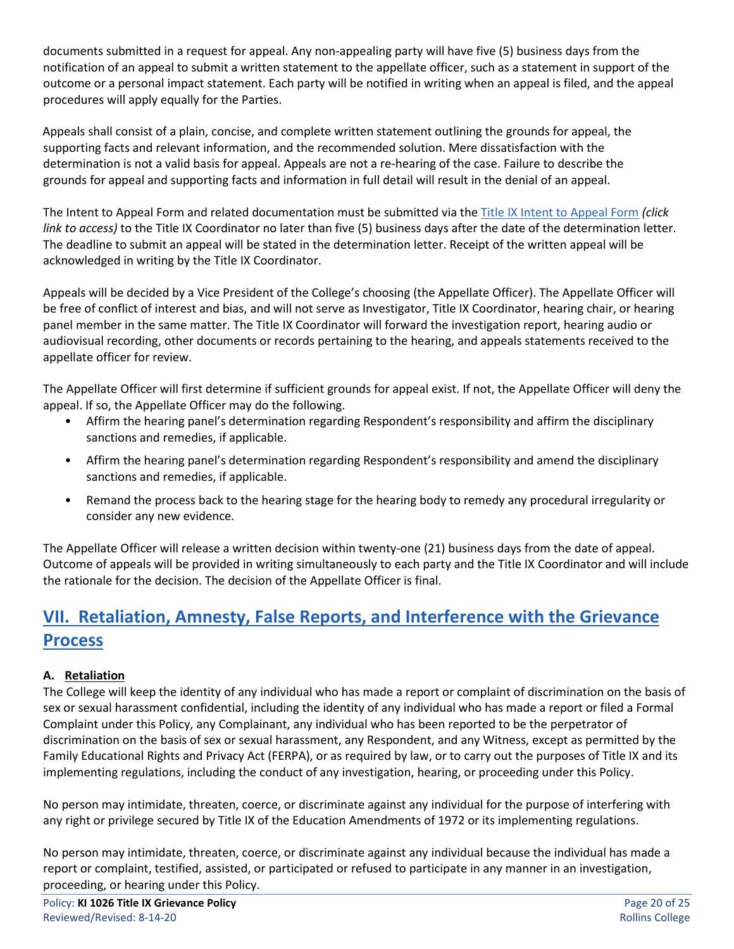documents submitted in a request for appeal. Any non-appealing party will have five (5) business days from the notification of an appeal to submit a written statement to the appellate officer, such as a statement in support of the outcome or a personal impact statement. Each party will be notified in writing when an appeal is filed, and the appeal procedures will apply equally for the Parties.

Appeals shall consist of a plain, concise, and complete written statement outlining the grounds for appeal, the supporting facts and relevant information, and the recommended solution. Mere dissatisfaction with the determination is not a valid basis for appeal. Appeals are not a re-hearing of the case. Failure to describe the grounds for appeal and supporting facts and information in full detail will result in the denial of an appeal.

The Intent to Appeal Form and related documentation must be submitted via the [Title IX Intent to Appeal Form](https://cm.maxient.com/reportingform.php?RollinsCollege&layout_id=16) *(click link to access)* to the Title IX Coordinator no later than five (5) business days after the date of the determination letter. The deadline to submit an appeal will be stated in the determination letter. Receipt of the written appeal will be acknowledged in writing by the Title IX Coordinator.

Appeals will be decided by a Vice President of the College's choosing (the Appellate Officer). The Appellate Officer will be free of conflict of interest and bias, and will not serve as Investigator, Title IX Coordinator, hearing chair, or hearing panel member in the same matter. The Title IX Coordinator will forward the investigation report, hearing audio or audiovisual recording, other documents or records pertaining to the hearing, and appeals statements received to the appellate officer for review.

The Appellate Officer will first determine if sufficient grounds for appeal exist. If not, the Appellate Officer will deny the appeal. If so, the Appellate Officer may do the following.

- Affirm the hearing panel's determination regarding Respondent's responsibility and affirm the disciplinary sanctions and remedies, if applicable.
- Affirm the hearing panel's determination regarding Respondent's responsibility and amend the disciplinary sanctions and remedies, if applicable.
- Remand the process back to the hearing stage for the hearing body to remedy any procedural irregularity or consider any new evidence.

The Appellate Officer will release a written decision within twenty-one (21) business days from the date of appeal. Outcome of appeals will be provided in writing simultaneously to each party and the Title IX Coordinator and will include the rationale for the decision. The decision of the Appellate Officer is final.

# **VII. Retaliation, Amnesty, False Reports, and Interference with the Grievance Process**

# **A. Retaliation**

The College will keep the identity of any individual who has made a report or complaint of discrimination on the basis of sex or sexual harassment confidential, including the identity of any individual who has made a report or filed a Formal Complaint under this Policy, any Complainant, any individual who has been reported to be the perpetrator of discrimination on the basis of sex or sexual harassment, any Respondent, and any Witness, except as permitted by the Family Educational Rights and Privacy Act (FERPA), or as required by law, or to carry out the purposes of Title IX and its implementing regulations, including the conduct of any investigation, hearing, or proceeding under this Policy.

No person may intimidate, threaten, coerce, or discriminate against any individual for the purpose of interfering with any right or privilege secured by Title IX of the Education Amendments of 1972 or its implementing regulations.

No person may intimidate, threaten, coerce, or discriminate against any individual because the individual has made a report or complaint, testified, assisted, or participated or refused to participate in any manner in an investigation, proceeding, or hearing under this Policy.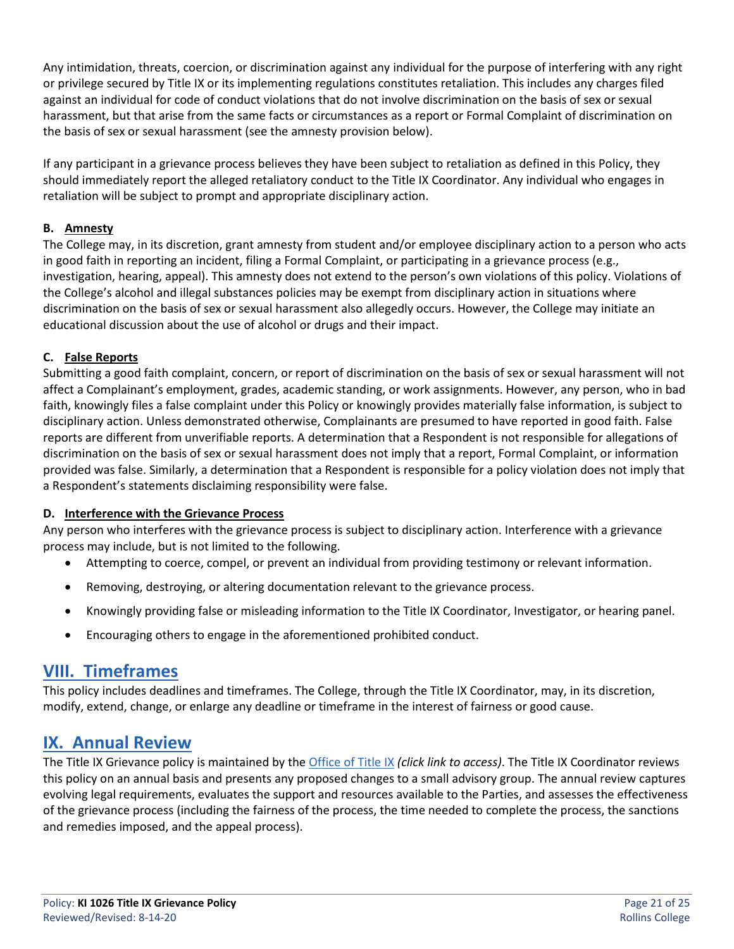Any intimidation, threats, coercion, or discrimination against any individual for the purpose of interfering with any right or privilege secured by Title IX or its implementing regulations constitutes retaliation. This includes any charges filed against an individual for code of conduct violations that do not involve discrimination on the basis of sex or sexual harassment, but that arise from the same facts or circumstances as a report or Formal Complaint of discrimination on the basis of sex or sexual harassment (see the amnesty provision below).

If any participant in a grievance process believes they have been subject to retaliation as defined in this Policy, they should immediately report the alleged retaliatory conduct to the Title IX Coordinator. Any individual who engages in retaliation will be subject to prompt and appropriate disciplinary action.

### **B. Amnesty**

The College may, in its discretion, grant amnesty from student and/or employee disciplinary action to a person who acts in good faith in reporting an incident, filing a Formal Complaint, or participating in a grievance process (e.g., investigation, hearing, appeal). This amnesty does not extend to the person's own violations of this policy. Violations of the College's alcohol and illegal substances policies may be exempt from disciplinary action in situations where discrimination on the basis of sex or sexual harassment also allegedly occurs. However, the College may initiate an educational discussion about the use of alcohol or drugs and their impact.

# **C. False Reports**

Submitting a good faith complaint, concern, or report of discrimination on the basis of sex or sexual harassment will not affect a Complainant's employment, grades, academic standing, or work assignments. However, any person, who in bad faith, knowingly files a false complaint under this Policy or knowingly provides materially false information, is subject to disciplinary action. Unless demonstrated otherwise, Complainants are presumed to have reported in good faith. False reports are different from unverifiable reports. A determination that a Respondent is not responsible for allegations of discrimination on the basis of sex or sexual harassment does not imply that a report, Formal Complaint, or information provided was false. Similarly, a determination that a Respondent is responsible for a policy violation does not imply that a Respondent's statements disclaiming responsibility were false.

#### **D. Interference with the Grievance Process**

Any person who interferes with the grievance process is subject to disciplinary action. Interference with a grievance process may include, but is not limited to the following.

- Attempting to coerce, compel, or prevent an individual from providing testimony or relevant information.
- Removing, destroying, or altering documentation relevant to the grievance process.
- Knowingly providing false or misleading information to the Title IX Coordinator, Investigator, or hearing panel.
- Encouraging others to engage in the aforementioned prohibited conduct.

# **VIII. Timeframes**

This policy includes deadlines and timeframes. The College, through the Title IX Coordinator, may, in its discretion, modify, extend, change, or enlarge any deadline or timeframe in the interest of fairness or good cause.

# **IX. Annual Review**

The Title IX Grievance policy is maintained by th[e Office of Title IX](http://www.rollins.edu/sexual-misconduct/index.html) *(click link to access)*. The Title IX Coordinator reviews this policy on an annual basis and presents any proposed changes to a small advisory group. The annual review captures evolving legal requirements, evaluates the support and resources available to the Parties, and assesses the effectiveness of the grievance process (including the fairness of the process, the time needed to complete the process, the sanctions and remedies imposed, and the appeal process).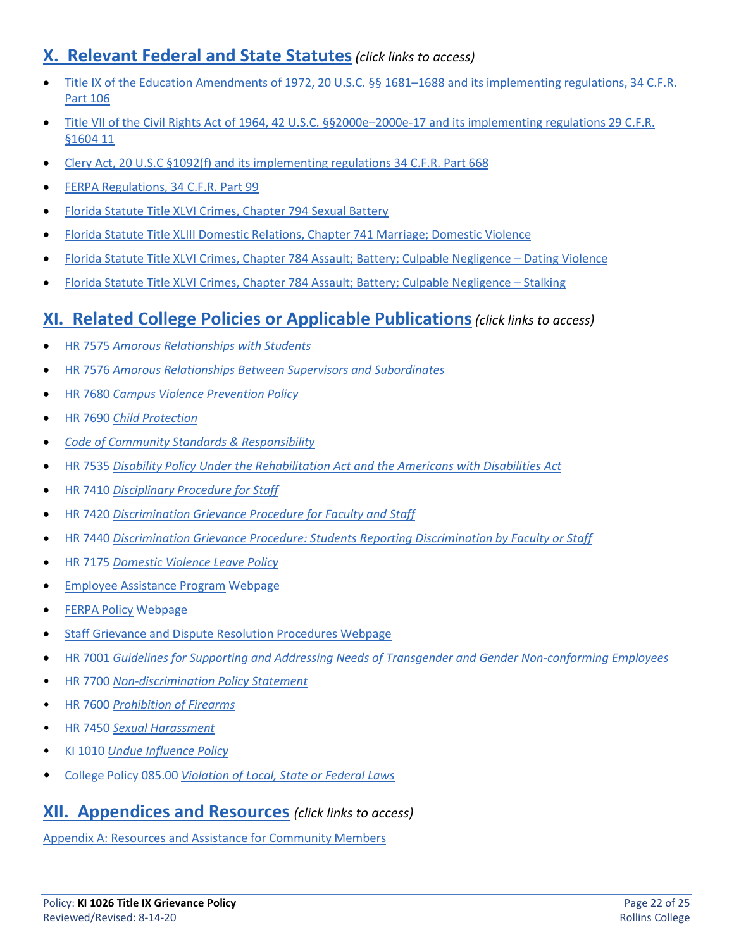# **X. Relevant Federal and State Statutes***(click links to access)*

- [Title IX of the Education Amendments of 1972, 20 U.S.C. §§ 1681–1688 a](http://www.gpo.gov/fdsys/pkg/USCODE-2013-title20/pdf/USCODE-2013-title20-chap38.pdf)nd its implementing regulations, 34 C.F.R. Part 106
- [Title VII of the Civil Rights Act of 1964, 42 U.S.C. §§2000e–2000e-17 a](http://www.gpo.gov/fdsys/pkg/USCODE-2013-title42/pdf/USCODE-2013-title42-chap21-subchapVI.pdf)nd its implementing regulations 29 C.F.R. §1604 11
- [Clery Act, 20 U.S.C §1092\(f\) a](http://www.gpo.gov/fdsys/pkg/USCODE-2013-title20/pdf/USCODE-2013-title20-chap28-subchapIV-partF-sec1092.pdf)nd its implementing regulations [34 C.F.R. Part 668](http://www.gpo.gov/fdsys/pkg/CFR-2013-title34-vol3/pdf/CFR-2013-title34-vol3-part668.pdf)
- [FERPA Regulations, 34 C.F.R. Part 99](http://www.gpo.gov/fdsys/pkg/CFR-2013-title34-vol1/pdf/CFR-2013-title34-vol1-part99.pdf)
- [Florida Statute Title XLVI Crimes, Chapter 794 Sexual Battery](http://www.leg.state.fl.us/statutes/index.cfm?App_mode=Display_Statute&URL=0700-0799/0794/0794ContentsIndex.html)
- [Florida Statute Title XLIII Domestic Relations, Chapter 741 Marriage; Domestic Violence](http://www.leg.state.fl.us/statutes/index.cfm?App_mode=Display_Statute&URL=0700-0799/0741/0741ContentsIndex.html&StatuteYear=2019&Title=%2D%3E2019%2D%3EChapter%20741)
- [Florida Statute Title XLVI Crimes, Chapter 784 Assault; Battery; Culpable Negligence –](http://www.leg.state.fl.us/statutes/index.cfm?App_mode=Display_Statute&URL=0700-0799/0784/Sections/0784.046.html) Dating Violence
- [Florida Statute Title XLVI Crimes, Chapter 784 Assault; Battery; Culpable Negligence –](http://www.leg.state.fl.us/Statutes/index.cfm?App_mode=Display_Statute&URL=0700-0799/0784/Sections/0784.048.html) Stalking

# **XI. Related College Policies or Applicable Publications***(click links to access)*

- HR 7575 *[Amorous Relationships with Students](http://www.rollins.edu/human-resources/documents/policies/general-policies/amorous-relationships-with-students-075000.pdf)*
- HR 7576 *[Amorous Relationships Between Supervisors and Subordinates](http://www.rollins.edu/human-resources/documents/policies/general-policies/amorous-relationships-between-supervisors-and-subordinates-076000.pdf)*
- HR 7680 *[Campus Violence Prevention Policy](https://www.rollins.edu/human-resources/documents/policies/safety/HR7680_Campus%20Violence%20Prevention%20Policy_11.06.2017.pdf)*
- HR 7690 *[Child Protection](https://www.rollins.edu/human-resources/documents/policies/safety/HR7690_Child%20Protection%20Policy_11.06.2017.pdf)*
- *[Code of Community Standards & Responsibility](https://www.rollins.edu/community-standards-responsibility/documents/rollins-college-code-of-community-standards.pdf)*
- HR 7535 *[Disability Policy Under the Rehabilitation Act and the Americans with Disabilities Act](https://www.rollins.edu/human-resources/documents/policies/general-policies/HR7535_Disability%20Policy%20under%20the%20Rehabilitation%20Act%20of%201973.ADA_11.06.2017.pdf)*
- HR 7410 *[Disciplinary Procedure for Staff](https://www.rollins.edu/human-resources/documents/policies/conduct-performance/HR7410-disciplinary-procedure-for-staff.pdf)*
- HR 7420 *Discrimination Grievance Procedure for Faculty and Staff*
- HR 7440 *[Discrimination Grievance Procedure: Students Reporting Discrimination by Faculty or Staff](https://www.rollins.edu/human-resources/documents/policies/conduct-performance/HR7440-discrimination-grievance-procedure-for-students.pdf)*
- HR 7175 *[Domestic Violence Leave Policy](https://www.rollins.edu/human-resources/documents/policies/absences-from-work/domestic-violence-leave-500750.pdf)*
- [Employee Assistance Program](https://www.rollins.edu/human-resources/benefits/insurance-plans/employee-assistance-program.html) Webpage
- [FERPA Policy](http://www.rollins.edu/ir/policies-procedures/ferpa-policy.html) Webpage
- [Staff Grievance and Dispute Resolution Procedures](https://www.rollins.edu/human-resources/services/employee-relations.html) Webpage
- HR 7001 *[Guidelines for Supporting and Addressing Needs of Transgender and Gender Non-conforming Employees](http://www.rollins.edu/human-resources/documents/policies/general-policies/transgender-gender-non-conforming-employees-policy.pdf)*
- HR 7700 *[Non-discrimination Policy Statement](https://www.rollins.edu/human-resources/documents/policies/employment-procedures/hr7700_nondiscrimination-policy-statement_07.02.2019.pdf)*
- HR 7600 *[Prohibition of](https://www.rollins.edu/human-resources/documents/policies/safety/HR7600_Prohibition%20on%20Firearms_05.05.2017.pdf) Firearms*
- HR 7450 *[Sexual Harassment](https://www.rollins.edu/human-resources/documents/policies/conduct-performance/HR7450_Sexual%20Harassment_11.15.2016.pdf)*
- KI 1010 *[Undue Influence Policy](https://rpublic.rollins.edu/sites/IR/Shared%20Documents/KI%201010%20Undue%20Influence%20Policy%2010-14-16.pdf)*
- College Policy 085.00 *[Violation of Local, State or Federal Laws](https://www.rollins.edu/human-resources/documents/policies/general-policies/laws-violation-of-local-state-or-federal-laws-085000.pdf)*

# **XII. Appendices and Resources** *(click links to access)*

[Appendix A: Resources and Assistance for Community Members](#page-22-0)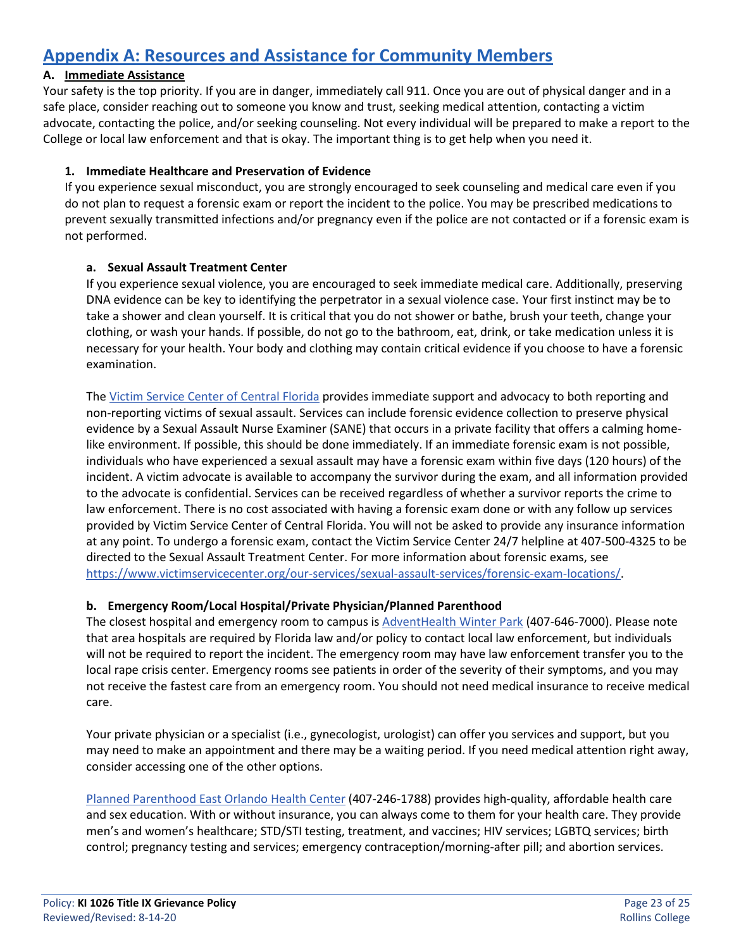# <span id="page-22-0"></span>**Appendix A: Resources and Assistance for Community Members**

### **A. Immediate Assistance**

Your safety is the top priority. If you are in danger, immediately call 911. Once you are out of physical danger and in a safe place, consider reaching out to someone you know and trust, seeking medical attention, contacting a victim advocate, contacting the police, and/or seeking counseling. Not every individual will be prepared to make a report to the College or local law enforcement and that is okay. The important thing is to get help when you need it.

### **1. Immediate Healthcare and Preservation of Evidence**

If you experience sexual misconduct, you are strongly encouraged to seek counseling and medical care even if you do not plan to request a forensic exam or report the incident to the police. You may be prescribed medications to prevent sexually transmitted infections and/or pregnancy even if the police are not contacted or if a forensic exam is not performed.

#### **a. Sexual Assault Treatment Center**

If you experience sexual violence, you are encouraged to seek immediate medical care. Additionally, preserving DNA evidence can be key to identifying the perpetrator in a sexual violence case. Your first instinct may be to take a shower and clean yourself. It is critical that you do not shower or bathe, brush your teeth, change your clothing, or wash your hands. If possible, do not go to the bathroom, eat, drink, or take medication unless it is necessary for your health. Your body and clothing may contain critical evidence if you choose to have a forensic examination.

The [Victim Service Center of Central Florida](https://www.victimservicecenter.org/) provides immediate support and advocacy to both reporting and non-reporting victims of sexual assault. Services can include forensic evidence collection to preserve physical evidence by a Sexual Assault Nurse Examiner (SANE) that occurs in a private facility that offers a calming homelike environment. If possible, this should be done immediately. If an immediate forensic exam is not possible, individuals who have experienced a sexual assault may have a forensic exam within five days (120 hours) of the incident. A victim advocate is available to accompany the survivor during the exam, and all information provided to the advocate is confidential. Services can be received regardless of whether a survivor reports the crime to law enforcement. There is no cost associated with having a forensic exam done or with any follow up services provided by Victim Service Center of Central Florida. You will not be asked to provide any insurance information at any point. To undergo a forensic exam, contact the Victim Service Center 24/7 helpline at 407-500-4325 to be directed to the Sexual Assault Treatment Center. For more information about forensic exams, see [https://www.victimservicecenter.org/our-services/sexual-assault-services/forensic-exam-locations/.](https://www.victimservicecenter.org/our-services/sexual-assault-services/forensic-exam-locations/)

#### **b. Emergency Room/Local Hospital/Private Physician/Planned Parenthood**

The closest hospital and emergency room to campus is [AdventHealth Winter Park](https://www.adventhealth.com/hospital/adventhealth-winter-park/emergency-and-urgent-care) (407-646-7000). Please note that area hospitals are required by Florida law and/or policy to contact local law enforcement, but individuals will not be required to report the incident. The emergency room may have law enforcement transfer you to the local rape crisis center. Emergency rooms see patients in order of the severity of their symptoms, and you may not receive the fastest care from an emergency room. You should not need medical insurance to receive medical care.

Your private physician or a specialist (i.e., gynecologist, urologist) can offer you services and support, but you may need to make an appointment and there may be a waiting period. If you need medical attention right away, consider accessing one of the other options.

[Planned Parenthood East Orlando Health Center](https://www.plannedparenthood.org/health-center/florida/orlando/32817/east-orlando-health-center-2857-90300) (407-246-1788) provides high-quality, affordable health care and sex education. With or without insurance, you can always come to them for your health care. They provide men's and women's healthcare; STD/STI testing, treatment, and vaccines; HIV services; LGBTQ services; birth control; pregnancy testing and services; emergency contraception/morning-after pill; and abortion services.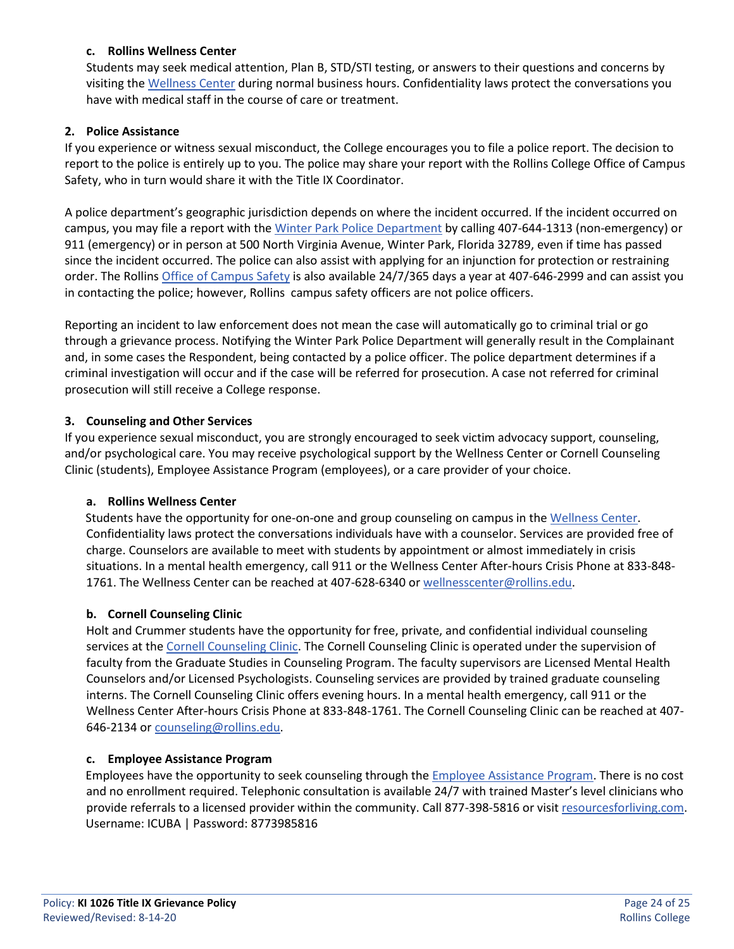#### **c. Rollins Wellness Center**

Students may seek medical attention, Plan B, STD/STI testing, or answers to their questions and concerns by visiting th[e Wellness Center](http://www.rollins.edu/wellness-center/index.html) during normal business hours. Confidentiality laws protect the conversations you have with medical staff in the course of care or treatment.

#### **2. Police Assistance**

If you experience or witness sexual misconduct, the College encourages you to file a police report. The decision to report to the police is entirely up to you. The police may share your report with the Rollins College Office of Campus Safety, who in turn would share it with the Title IX Coordinator.

A police department's geographic jurisdiction depends on where the incident occurred. If the incident occurred on campus, you may file a report with the [Winter Park Police Department](https://wppd.org/) by calling 407-644-1313 (non-emergency) or 911 (emergency) or in person at 500 North Virginia Avenue, Winter Park, Florida 32789, even if time has passed since the incident occurred. The police can also assist with applying for an injunction for protection or restraining order. The Rollins [Office of Campus Safety](https://www.rollins.edu/campus-safety/) is also available 24/7/365 days a year at 407-646-2999 and can assist you in contacting the police; however, Rollins campus safety officers are not police officers.

Reporting an incident to law enforcement does not mean the case will automatically go to criminal trial or go through a grievance process. Notifying the Winter Park Police Department will generally result in the Complainant and, in some cases the Respondent, being contacted by a police officer. The police department determines if a criminal investigation will occur and if the case will be referred for prosecution. A case not referred for criminal prosecution will still receive a College response.

#### **3. Counseling and Other Services**

If you experience sexual misconduct, you are strongly encouraged to seek victim advocacy support, counseling, and/or psychological care. You may receive psychological support by the Wellness Center or Cornell Counseling Clinic (students), Employee Assistance Program (employees), or a care provider of your choice.

#### **a. Rollins Wellness Center**

Students have the opportunity for one-on-one and group counseling on campus in the [Wellness Center.](http://www.rollins.edu/wellness-center/index.html) Confidentiality laws protect the conversations individuals have with a counselor. Services are provided free of charge. Counselors are available to meet with students by appointment or almost immediately in crisis situations. In a mental health emergency, call 911 or the Wellness Center After-hours Crisis Phone at 833-848- 1761. The Wellness Center can be reached at 407-628-6340 or [wellnesscenter@rollins.edu.](mailto:wellnesscenter@rollins.edu)

#### **b. Cornell Counseling Clinic**

Holt and Crummer students have the opportunity for free, private, and confidential individual counseling services at the [Cornell Counseling Clinic.](https://www.rollins.edu/counseling/cornell-counseling-clinic/) The Cornell Counseling Clinic is operated under the supervision of faculty from the Graduate Studies in Counseling Program. The faculty supervisors are Licensed Mental Health Counselors and/or Licensed Psychologists. Counseling services are provided by trained graduate counseling interns. The Cornell Counseling Clinic offers evening hours. In a mental health emergency, call 911 or the Wellness Center After-hours Crisis Phone at 833-848-1761. The Cornell Counseling Clinic can be reached at 407- 646-2134 or [counseling@rollins.edu.](mailto:counseling@rollins.edu)

#### **c. Employee Assistance Program**

Employees have the opportunity to seek counseling through the **Employee Assistance Program**. There is no cost and no enrollment required. Telephonic consultation is available 24/7 with trained Master's level clinicians who provide referrals to a licensed provider within the community. Call 877-398-5816 or visi[t resourcesforliving.com.](http://resourcesforliving.com/) Username: ICUBA | Password: 8773985816